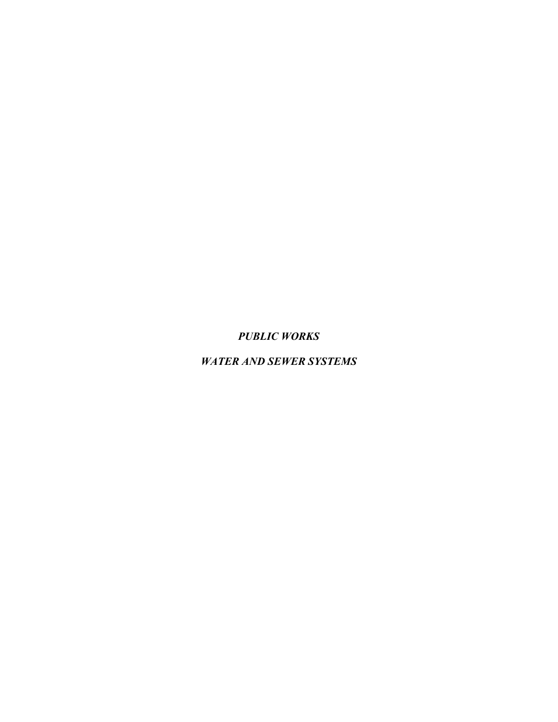*PUBLIC WORKS*

*WATER AND SEWER SYSTEMS*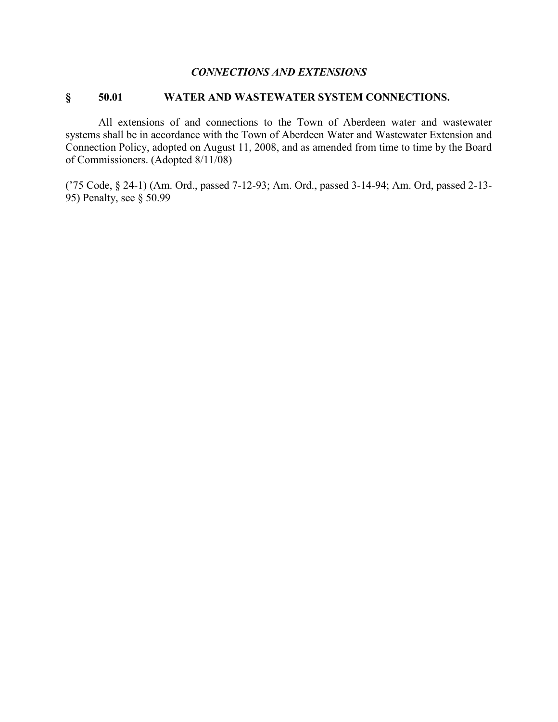#### *CONNECTIONS AND EXTENSIONS*

#### **§ 50.01 WATER AND WASTEWATER SYSTEM CONNECTIONS.**

All extensions of and connections to the Town of Aberdeen water and wastewater systems shall be in accordance with the Town of Aberdeen Water and Wastewater Extension and Connection Policy, adopted on August 11, 2008, and as amended from time to time by the Board of Commissioners. (Adopted 8/11/08)

('75 Code, § 24-1) (Am. Ord., passed 7-12-93; Am. Ord., passed 3-14-94; Am. Ord, passed 2-13- 95) Penalty, see § 50.99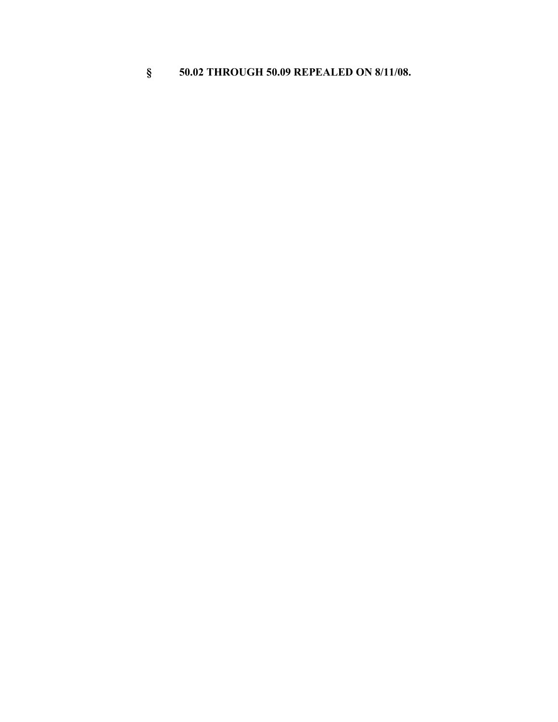# **§ 50.02 THROUGH 50.09 REPEALED ON 8/11/08.**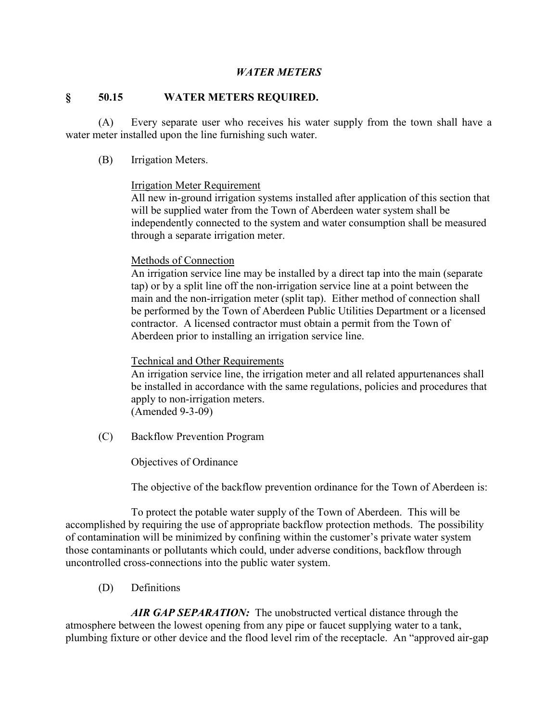#### *WATER METERS*

#### **§ 50.15 WATER METERS REQUIRED.**

(A) Every separate user who receives his water supply from the town shall have a water meter installed upon the line furnishing such water.

(B) Irrigation Meters.

#### Irrigation Meter Requirement

All new in-ground irrigation systems installed after application of this section that will be supplied water from the Town of Aberdeen water system shall be independently connected to the system and water consumption shall be measured through a separate irrigation meter.

#### Methods of Connection

An irrigation service line may be installed by a direct tap into the main (separate tap) or by a split line off the non-irrigation service line at a point between the main and the non-irrigation meter (split tap). Either method of connection shall be performed by the Town of Aberdeen Public Utilities Department or a licensed contractor. A licensed contractor must obtain a permit from the Town of Aberdeen prior to installing an irrigation service line.

#### Technical and Other Requirements

An irrigation service line, the irrigation meter and all related appurtenances shall be installed in accordance with the same regulations, policies and procedures that apply to non-irrigation meters. (Amended 9-3-09)

(C) Backflow Prevention Program

Objectives of Ordinance

The objective of the backflow prevention ordinance for the Town of Aberdeen is:

To protect the potable water supply of the Town of Aberdeen. This will be accomplished by requiring the use of appropriate backflow protection methods. The possibility of contamination will be minimized by confining within the customer's private water system those contaminants or pollutants which could, under adverse conditions, backflow through uncontrolled cross-connections into the public water system.

(D) Definitions

AIR GAP SEPARATION: The unobstructed vertical distance through the atmosphere between the lowest opening from any pipe or faucet supplying water to a tank, plumbing fixture or other device and the flood level rim of the receptacle. An "approved air-gap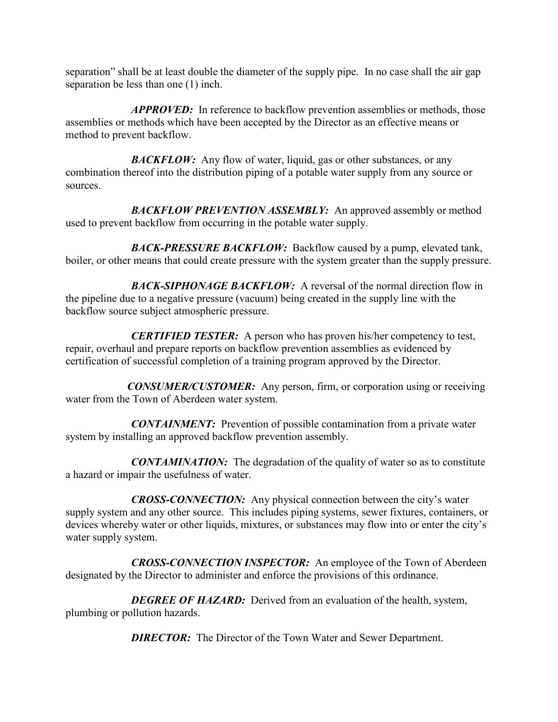separation" shall be at least double the diameter of the supply pipe. In no case shall the air gap separation be less than one (1) inch.

*APPROVED:*In reference to backflow prevention assemblies or methods, those assemblies or methods which have been accepted by the Director as an effective means or method to prevent backflow.

**BACKFLOW:** Any flow of water, liquid, gas or other substances, or any combination thereof into the distribution piping of a potable water supply from any source or sources.

*BACKFLOW PREVENTION ASSEMBLY:*An approved assembly or method used to prevent backflow from occurring in the potable water supply.

**BACK-PRESSURE BACKFLOW:** Backflow caused by a pump, elevated tank, boiler, or other means that could create pressure with the system greater than the supply pressure.

**BACK-SIPHONAGE BACKFLOW:** A reversal of the normal direction flow in the pipeline due to a negative pressure (vacuum) being created in the supply line with the backflow source subject atmospheric pressure.

*CERTIFIED TESTER:* A person who has proven his/her competency to test, repair, overhaul and prepare reports on backflow prevention assemblies as evidenced by certification of successful completion of a training program approved by the Director.

*CONSUMER/CUSTOMER:*Any person, firm, or corporation using or receiving water from the Town of Aberdeen water system.

*CONTAINMENT:*Prevention of possible contamination from a private water system by installing an approved backflow prevention assembly.

*CONTAMINATION:* The degradation of the quality of water so as to constitute a hazard or impair the usefulness of water.

*CROSS-CONNECTION:* Any physical connection between the city's water supply system and any other source. This includes piping systems, sewer fixtures, containers, or devices whereby water or other liquids, mixtures, or substances may flow into or enter the city's water supply system.

*CROSS-CONNECTION INSPECTOR:*An employee of the Town of Aberdeen designated by the Director to administer and enforce the provisions of this ordinance.

**DEGREE OF HAZARD:** Derived from an evaluation of the health, system, plumbing or pollution hazards.

*DIRECTOR:* The Director of the Town Water and Sewer Department.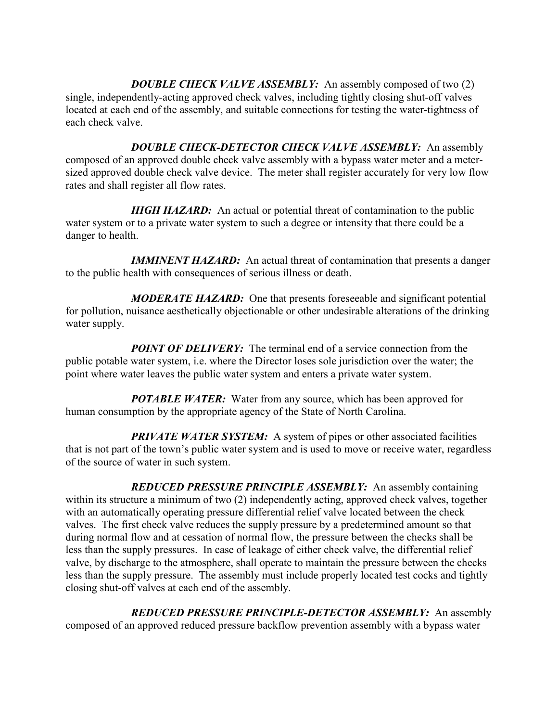*DOUBLE CHECK VALVE ASSEMBLY:*An assembly composed of two (2) single, independently-acting approved check valves, including tightly closing shut-off valves located at each end of the assembly, and suitable connections for testing the water-tightness of each check valve.

*DOUBLE CHECK-DETECTOR CHECK VALVE ASSEMBLY:*An assembly composed of an approved double check valve assembly with a bypass water meter and a metersized approved double check valve device. The meter shall register accurately for very low flow rates and shall register all flow rates.

*HIGH HAZARD:* An actual or potential threat of contamination to the public water system or to a private water system to such a degree or intensity that there could be a danger to health.

*IMMINENT HAZARD:* An actual threat of contamination that presents a danger to the public health with consequences of serious illness or death.

*MODERATE HAZARD:*One that presents foreseeable and significant potential for pollution, nuisance aesthetically objectionable or other undesirable alterations of the drinking water supply.

*POINT OF DELIVERY:* The terminal end of a service connection from the public potable water system, i.e. where the Director loses sole jurisdiction over the water; the point where water leaves the public water system and enters a private water system.

*POTABLE WATER:* Water from any source, which has been approved for human consumption by the appropriate agency of the State of North Carolina.

*PRIVATE WATER SYSTEM:* A system of pipes or other associated facilities that is not part of the town's public water system and is used to move or receive water, regardless of the source of water in such system.

*REDUCED PRESSURE PRINCIPLE ASSEMBLY:*An assembly containing within its structure a minimum of two (2) independently acting, approved check valves, together with an automatically operating pressure differential relief valve located between the check valves. The first check valve reduces the supply pressure by a predetermined amount so that during normal flow and at cessation of normal flow, the pressure between the checks shall be less than the supply pressures. In case of leakage of either check valve, the differential relief valve, by discharge to the atmosphere, shall operate to maintain the pressure between the checks less than the supply pressure. The assembly must include properly located test cocks and tightly closing shut-off valves at each end of the assembly.

*REDUCED PRESSURE PRINCIPLE-DETECTOR ASSEMBLY:*An assembly composed of an approved reduced pressure backflow prevention assembly with a bypass water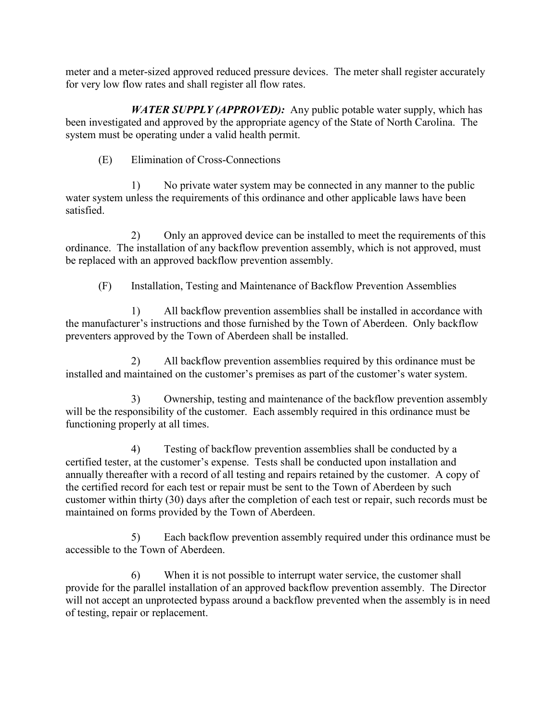meter and a meter-sized approved reduced pressure devices. The meter shall register accurately for very low flow rates and shall register all flow rates.

*WATER SUPPLY (APPROVED):* Any public potable water supply, which has been investigated and approved by the appropriate agency of the State of North Carolina. The system must be operating under a valid health permit.

(E) Elimination of Cross-Connections

1) No private water system may be connected in any manner to the public water system unless the requirements of this ordinance and other applicable laws have been satisfied.

2) Only an approved device can be installed to meet the requirements of this ordinance. The installation of any backflow prevention assembly, which is not approved, must be replaced with an approved backflow prevention assembly.

(F) Installation, Testing and Maintenance of Backflow Prevention Assemblies

1) All backflow prevention assemblies shall be installed in accordance with the manufacturer's instructions and those furnished by the Town of Aberdeen. Only backflow preventers approved by the Town of Aberdeen shall be installed.

2) All backflow prevention assemblies required by this ordinance must be installed and maintained on the customer's premises as part of the customer's water system.

3) Ownership, testing and maintenance of the backflow prevention assembly will be the responsibility of the customer. Each assembly required in this ordinance must be functioning properly at all times.

4) Testing of backflow prevention assemblies shall be conducted by a certified tester, at the customer's expense. Tests shall be conducted upon installation and annually thereafter with a record of all testing and repairs retained by the customer. A copy of the certified record for each test or repair must be sent to the Town of Aberdeen by such customer within thirty (30) days after the completion of each test or repair, such records must be maintained on forms provided by the Town of Aberdeen.

5) Each backflow prevention assembly required under this ordinance must be accessible to the Town of Aberdeen.

6) When it is not possible to interrupt water service, the customer shall provide for the parallel installation of an approved backflow prevention assembly. The Director will not accept an unprotected bypass around a backflow prevented when the assembly is in need of testing, repair or replacement.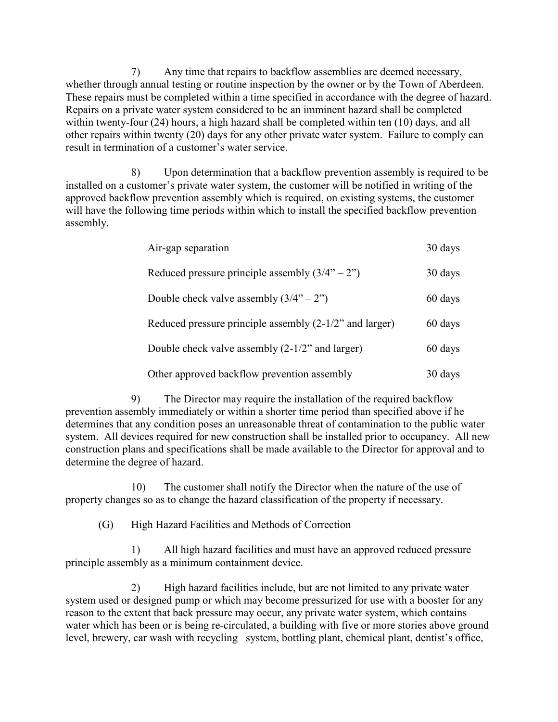7) Any time that repairs to backflow assemblies are deemed necessary, whether through annual testing or routine inspection by the owner or by the Town of Aberdeen. These repairs must be completed within a time specified in accordance with the degree of hazard. Repairs on a private water system considered to be an imminent hazard shall be completed within twenty-four (24) hours, a high hazard shall be completed within ten (10) days, and all other repairs within twenty (20) days for any other private water system. Failure to comply can result in termination of a customer's water service.

8) Upon determination that a backflow prevention assembly is required to be installed on a customer's private water system, the customer will be notified in writing of the approved backflow prevention assembly which is required, on existing systems, the customer will have the following time periods within which to install the specified backflow prevention assembly.

| Air-gap separation                                        | 30 days |
|-----------------------------------------------------------|---------|
| Reduced pressure principle assembly $(3/4 - 2)$           | 30 days |
| Double check valve assembly $(3/4 - 2)$                   | 60 days |
| Reduced pressure principle assembly $(2-1/2)$ and larger) | 60 days |
| Double check valve assembly $(2-1/2)$ and larger)         | 60 days |
| Other approved backflow prevention assembly               | 30 days |

9) The Director may require the installation of the required backflow prevention assembly immediately or within a shorter time period than specified above if he determines that any condition poses an unreasonable threat of contamination to the public water system. All devices required for new construction shall be installed prior to occupancy. All new construction plans and specifications shall be made available to the Director for approval and to determine the degree of hazard.

10) The customer shall notify the Director when the nature of the use of property changes so as to change the hazard classification of the property if necessary.

(G) High Hazard Facilities and Methods of Correction

1) All high hazard facilities and must have an approved reduced pressure principle assembly as a minimum containment device.

2) High hazard facilities include, but are not limited to any private water system used or designed pump or which may become pressurized for use with a booster for any reason to the extent that back pressure may occur, any private water system, which contains water which has been or is being re-circulated, a building with five or more stories above ground level, brewery, car wash with recycling system, bottling plant, chemical plant, dentist's office,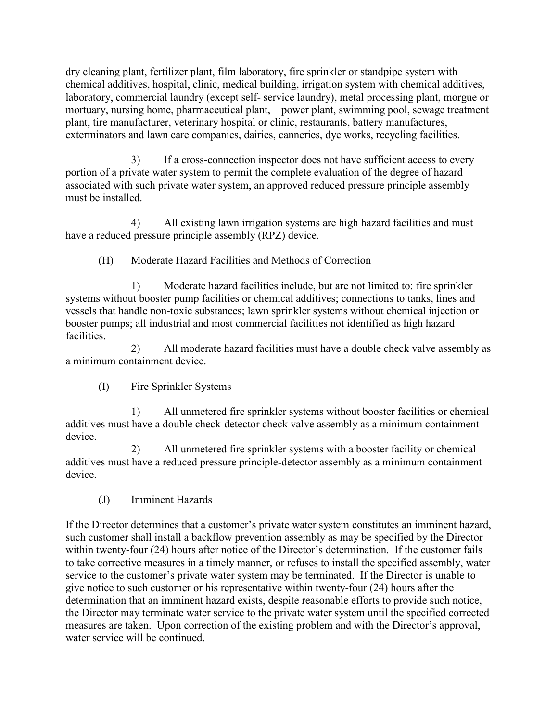dry cleaning plant, fertilizer plant, film laboratory, fire sprinkler or standpipe system with chemical additives, hospital, clinic, medical building, irrigation system with chemical additives, laboratory, commercial laundry (except self- service laundry), metal processing plant, morgue or mortuary, nursing home, pharmaceutical plant, power plant, swimming pool, sewage treatment plant, tire manufacturer, veterinary hospital or clinic, restaurants, battery manufactures, exterminators and lawn care companies, dairies, canneries, dye works, recycling facilities.

3) If a cross-connection inspector does not have sufficient access to every portion of a private water system to permit the complete evaluation of the degree of hazard associated with such private water system, an approved reduced pressure principle assembly must be installed.

4) All existing lawn irrigation systems are high hazard facilities and must have a reduced pressure principle assembly (RPZ) device.

(H) Moderate Hazard Facilities and Methods of Correction

1) Moderate hazard facilities include, but are not limited to: fire sprinkler systems without booster pump facilities or chemical additives; connections to tanks, lines and vessels that handle non-toxic substances; lawn sprinkler systems without chemical injection or booster pumps; all industrial and most commercial facilities not identified as high hazard facilities.

2) All moderate hazard facilities must have a double check valve assembly as a minimum containment device.

(I) Fire Sprinkler Systems

1) All unmetered fire sprinkler systems without booster facilities or chemical additives must have a double check-detector check valve assembly as a minimum containment device.

2) All unmetered fire sprinkler systems with a booster facility or chemical additives must have a reduced pressure principle-detector assembly as a minimum containment device.

(J) Imminent Hazards

If the Director determines that a customer's private water system constitutes an imminent hazard, such customer shall install a backflow prevention assembly as may be specified by the Director within twenty-four (24) hours after notice of the Director's determination. If the customer fails to take corrective measures in a timely manner, or refuses to install the specified assembly, water service to the customer's private water system may be terminated. If the Director is unable to give notice to such customer or his representative within twenty-four (24) hours after the determination that an imminent hazard exists, despite reasonable efforts to provide such notice, the Director may terminate water service to the private water system until the specified corrected measures are taken. Upon correction of the existing problem and with the Director's approval, water service will be continued.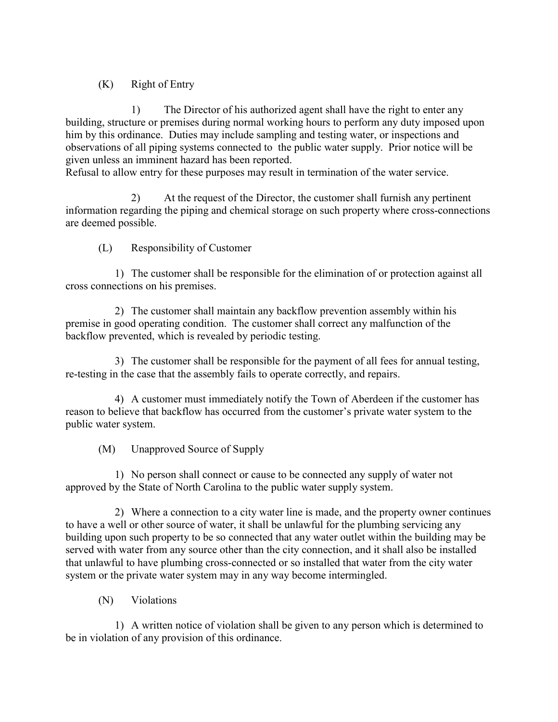### (K) Right of Entry

1) The Director of his authorized agent shall have the right to enter any building, structure or premises during normal working hours to perform any duty imposed upon him by this ordinance. Duties may include sampling and testing water, or inspections and observations of all piping systems connected to the public water supply. Prior notice will be given unless an imminent hazard has been reported.

Refusal to allow entry for these purposes may result in termination of the water service.

2) At the request of the Director, the customer shall furnish any pertinent information regarding the piping and chemical storage on such property where cross-connections are deemed possible.

(L) Responsibility of Customer

1) The customer shall be responsible for the elimination of or protection against all cross connections on his premises.

2) The customer shall maintain any backflow prevention assembly within his premise in good operating condition. The customer shall correct any malfunction of the backflow prevented, which is revealed by periodic testing.

3) The customer shall be responsible for the payment of all fees for annual testing, re-testing in the case that the assembly fails to operate correctly, and repairs.

4) A customer must immediately notify the Town of Aberdeen if the customer has reason to believe that backflow has occurred from the customer's private water system to the public water system.

(M) Unapproved Source of Supply

1) No person shall connect or cause to be connected any supply of water not approved by the State of North Carolina to the public water supply system.

2) Where a connection to a city water line is made, and the property owner continues to have a well or other source of water, it shall be unlawful for the plumbing servicing any building upon such property to be so connected that any water outlet within the building may be served with water from any source other than the city connection, and it shall also be installed that unlawful to have plumbing cross-connected or so installed that water from the city water system or the private water system may in any way become intermingled.

(N) Violations

1) A written notice of violation shall be given to any person which is determined to be in violation of any provision of this ordinance.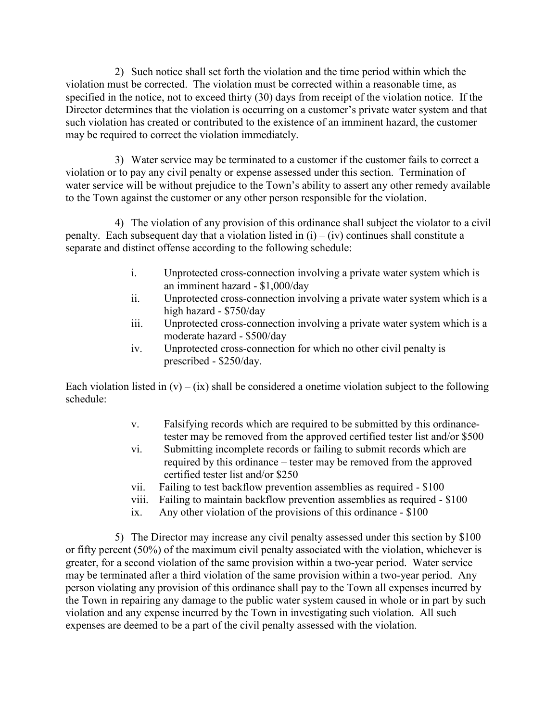2) Such notice shall set forth the violation and the time period within which the violation must be corrected. The violation must be corrected within a reasonable time, as specified in the notice, not to exceed thirty (30) days from receipt of the violation notice. If the Director determines that the violation is occurring on a customer's private water system and that such violation has created or contributed to the existence of an imminent hazard, the customer may be required to correct the violation immediately.

3) Water service may be terminated to a customer if the customer fails to correct a violation or to pay any civil penalty or expense assessed under this section. Termination of water service will be without prejudice to the Town's ability to assert any other remedy available to the Town against the customer or any other person responsible for the violation.

4) The violation of any provision of this ordinance shall subject the violator to a civil penalty. Each subsequent day that a violation listed in  $(i) - (iv)$  continues shall constitute a separate and distinct offense according to the following schedule:

- i. Unprotected cross-connection involving a private water system which is an imminent hazard - \$1,000/day
- ii. Unprotected cross-connection involving a private water system which is a high hazard - \$750/day
- iii. Unprotected cross-connection involving a private water system which is a moderate hazard - \$500/day
- iv. Unprotected cross-connection for which no other civil penalty is prescribed - \$250/day.

Each violation listed in  $(v) - (ix)$  shall be considered a onetime violation subject to the following schedule:

- v. Falsifying records which are required to be submitted by this ordinancetester may be removed from the approved certified tester list and/or \$500
- vi. Submitting incomplete records or failing to submit records which are required by this ordinance – tester may be removed from the approved certified tester list and/or \$250
- vii. Failing to test backflow prevention assemblies as required \$100
- viii. Failing to maintain backflow prevention assemblies as required \$100
- ix. Any other violation of the provisions of this ordinance \$100

5) The Director may increase any civil penalty assessed under this section by \$100 or fifty percent (50%) of the maximum civil penalty associated with the violation, whichever is greater, for a second violation of the same provision within a two-year period. Water service may be terminated after a third violation of the same provision within a two-year period. Any person violating any provision of this ordinance shall pay to the Town all expenses incurred by the Town in repairing any damage to the public water system caused in whole or in part by such violation and any expense incurred by the Town in investigating such violation. All such expenses are deemed to be a part of the civil penalty assessed with the violation.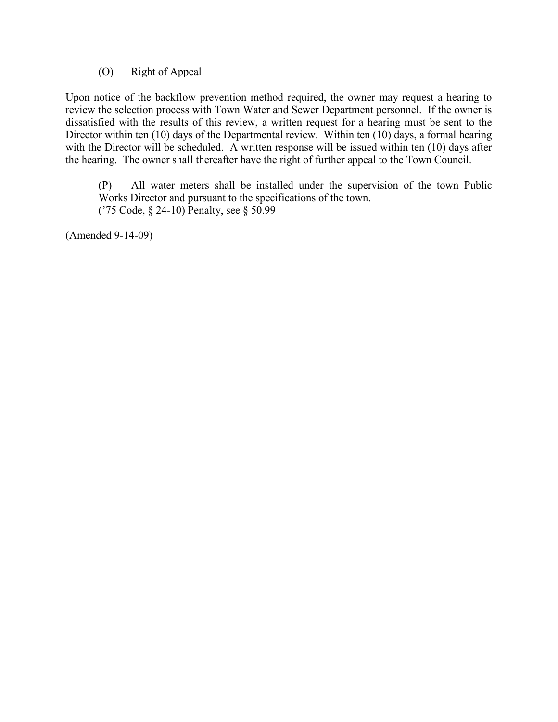#### (O) Right of Appeal

Upon notice of the backflow prevention method required, the owner may request a hearing to review the selection process with Town Water and Sewer Department personnel. If the owner is dissatisfied with the results of this review, a written request for a hearing must be sent to the Director within ten (10) days of the Departmental review. Within ten (10) days, a formal hearing with the Director will be scheduled. A written response will be issued within ten (10) days after the hearing. The owner shall thereafter have the right of further appeal to the Town Council.

(P) All water meters shall be installed under the supervision of the town Public Works Director and pursuant to the specifications of the town. ('75 Code, § 24-10) Penalty, see § 50.99

(Amended 9-14-09)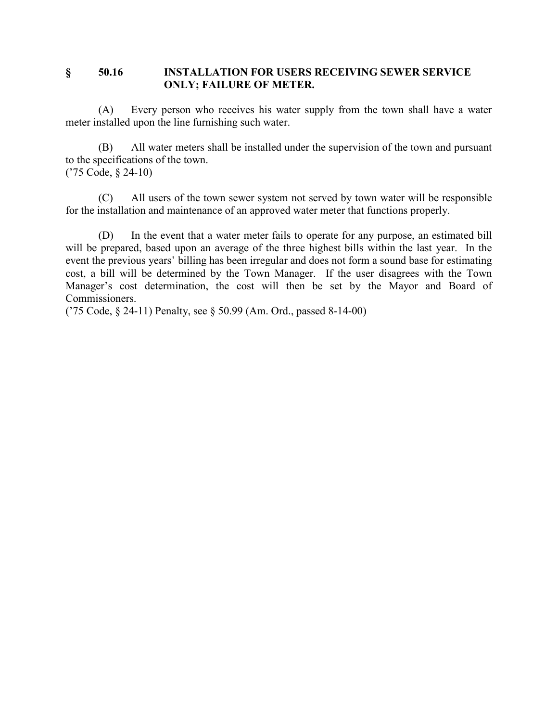#### **§ 50.16 INSTALLATION FOR USERS RECEIVING SEWER SERVICE ONLY; FAILURE OF METER.**

(A) Every person who receives his water supply from the town shall have a water meter installed upon the line furnishing such water.

(B) All water meters shall be installed under the supervision of the town and pursuant to the specifications of the town. ('75 Code, § 24-10)

(C) All users of the town sewer system not served by town water will be responsible for the installation and maintenance of an approved water meter that functions properly.

(D) In the event that a water meter fails to operate for any purpose, an estimated bill will be prepared, based upon an average of the three highest bills within the last year. In the event the previous years' billing has been irregular and does not form a sound base for estimating cost, a bill will be determined by the Town Manager. If the user disagrees with the Town Manager's cost determination, the cost will then be set by the Mayor and Board of Commissioners.

('75 Code, § 24-11) Penalty, see § 50.99 (Am. Ord., passed 8-14-00)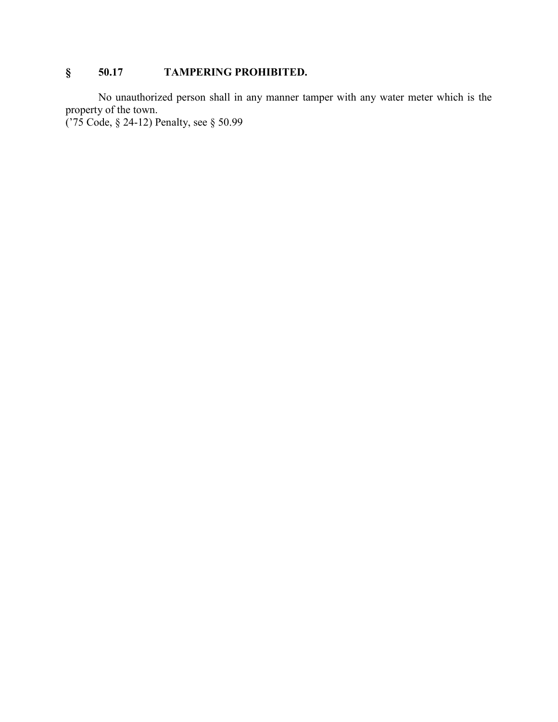## **§ 50.17 TAMPERING PROHIBITED.**

No unauthorized person shall in any manner tamper with any water meter which is the property of the town.

('75 Code, § 24-12) Penalty, see § 50.99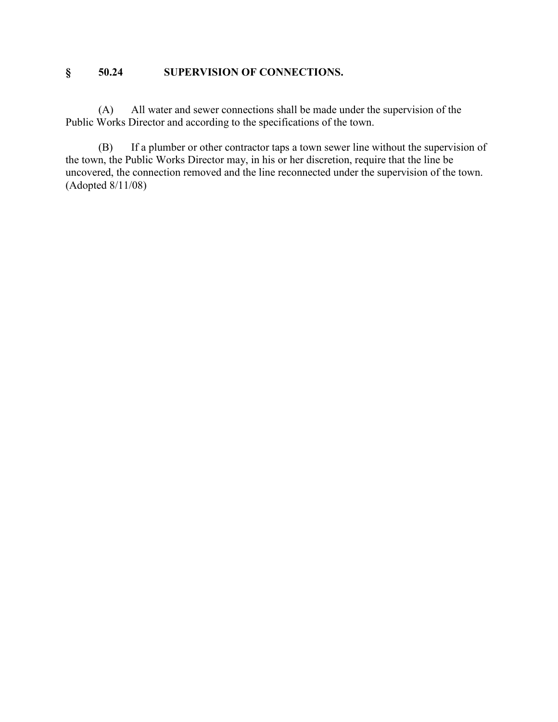### **§ 50.24 SUPERVISION OF CONNECTIONS.**

(A) All water and sewer connections shall be made under the supervision of the Public Works Director and according to the specifications of the town.

(B) If a plumber or other contractor taps a town sewer line without the supervision of the town, the Public Works Director may, in his or her discretion, require that the line be uncovered, the connection removed and the line reconnected under the supervision of the town. (Adopted 8/11/08)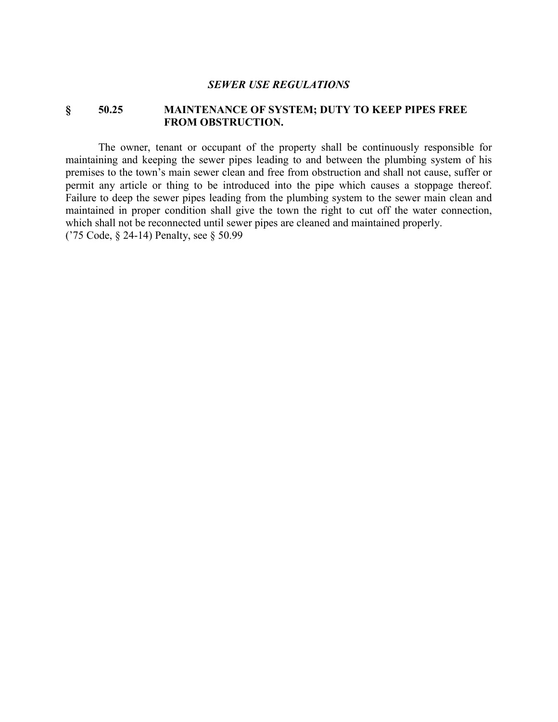#### *SEWER USE REGULATIONS*

#### **§ 50.25 MAINTENANCE OF SYSTEM; DUTY TO KEEP PIPES FREE FROM OBSTRUCTION.**

The owner, tenant or occupant of the property shall be continuously responsible for maintaining and keeping the sewer pipes leading to and between the plumbing system of his premises to the town's main sewer clean and free from obstruction and shall not cause, suffer or permit any article or thing to be introduced into the pipe which causes a stoppage thereof. Failure to deep the sewer pipes leading from the plumbing system to the sewer main clean and maintained in proper condition shall give the town the right to cut off the water connection, which shall not be reconnected until sewer pipes are cleaned and maintained properly. ('75 Code, § 24-14) Penalty, see § 50.99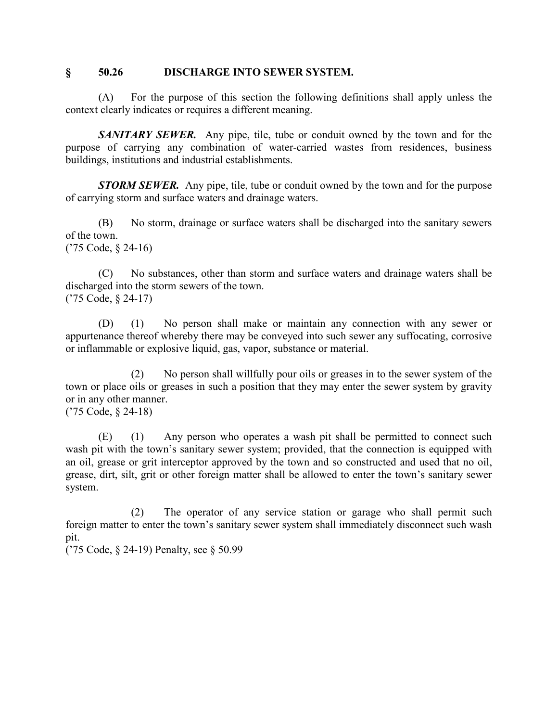#### **§ 50.26 DISCHARGE INTO SEWER SYSTEM.**

(A) For the purpose of this section the following definitions shall apply unless the context clearly indicates or requires a different meaning.

*SANITARY SEWER.* Any pipe, tile, tube or conduit owned by the town and for the purpose of carrying any combination of water-carried wastes from residences, business buildings, institutions and industrial establishments.

*STORM SEWER.* Any pipe, tile, tube or conduit owned by the town and for the purpose of carrying storm and surface waters and drainage waters.

(B) No storm, drainage or surface waters shall be discharged into the sanitary sewers of the town. ('75 Code, § 24-16)

(C) No substances, other than storm and surface waters and drainage waters shall be discharged into the storm sewers of the town. ('75 Code, § 24-17)

(D) (1) No person shall make or maintain any connection with any sewer or appurtenance thereof whereby there may be conveyed into such sewer any suffocating, corrosive or inflammable or explosive liquid, gas, vapor, substance or material.

(2) No person shall willfully pour oils or greases in to the sewer system of the town or place oils or greases in such a position that they may enter the sewer system by gravity or in any other manner.

('75 Code, § 24-18)

(E) (1) Any person who operates a wash pit shall be permitted to connect such wash pit with the town's sanitary sewer system; provided, that the connection is equipped with an oil, grease or grit interceptor approved by the town and so constructed and used that no oil, grease, dirt, silt, grit or other foreign matter shall be allowed to enter the town's sanitary sewer system.

(2) The operator of any service station or garage who shall permit such foreign matter to enter the town's sanitary sewer system shall immediately disconnect such wash pit.

('75 Code, § 24-19) Penalty, see § 50.99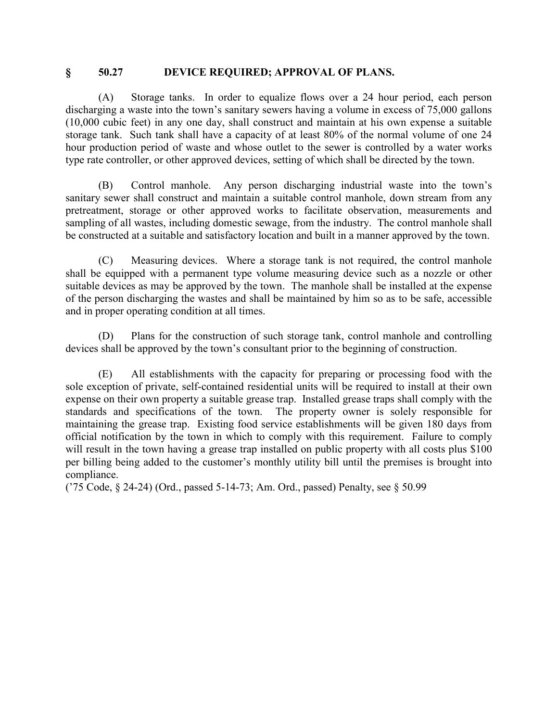#### **§ 50.27 DEVICE REQUIRED; APPROVAL OF PLANS.**

(A) Storage tanks. In order to equalize flows over a 24 hour period, each person discharging a waste into the town's sanitary sewers having a volume in excess of 75,000 gallons (10,000 cubic feet) in any one day, shall construct and maintain at his own expense a suitable storage tank. Such tank shall have a capacity of at least 80% of the normal volume of one 24 hour production period of waste and whose outlet to the sewer is controlled by a water works type rate controller, or other approved devices, setting of which shall be directed by the town.

(B) Control manhole. Any person discharging industrial waste into the town's sanitary sewer shall construct and maintain a suitable control manhole, down stream from any pretreatment, storage or other approved works to facilitate observation, measurements and sampling of all wastes, including domestic sewage, from the industry. The control manhole shall be constructed at a suitable and satisfactory location and built in a manner approved by the town.

(C) Measuring devices. Where a storage tank is not required, the control manhole shall be equipped with a permanent type volume measuring device such as a nozzle or other suitable devices as may be approved by the town. The manhole shall be installed at the expense of the person discharging the wastes and shall be maintained by him so as to be safe, accessible and in proper operating condition at all times.

(D) Plans for the construction of such storage tank, control manhole and controlling devices shall be approved by the town's consultant prior to the beginning of construction.

(E) All establishments with the capacity for preparing or processing food with the sole exception of private, self-contained residential units will be required to install at their own expense on their own property a suitable grease trap. Installed grease traps shall comply with the standards and specifications of the town. The property owner is solely responsible for maintaining the grease trap. Existing food service establishments will be given 180 days from official notification by the town in which to comply with this requirement. Failure to comply will result in the town having a grease trap installed on public property with all costs plus \$100 per billing being added to the customer's monthly utility bill until the premises is brought into compliance.

('75 Code, § 24-24) (Ord., passed 5-14-73; Am. Ord., passed) Penalty, see § 50.99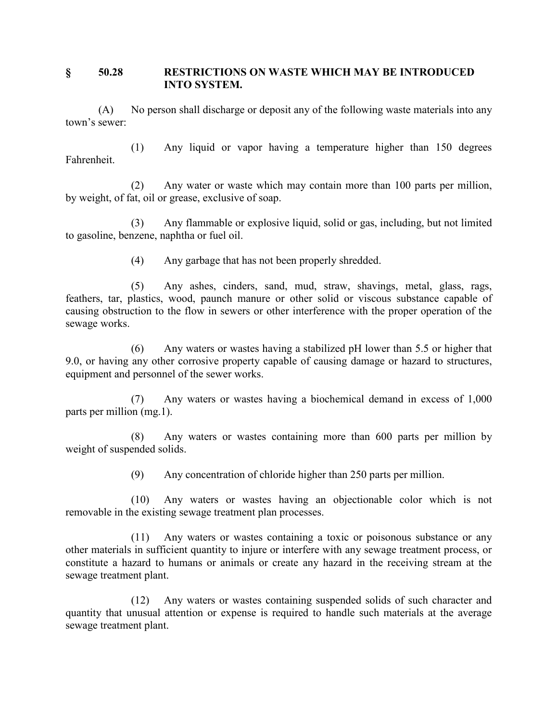#### **§ 50.28 RESTRICTIONS ON WASTE WHICH MAY BE INTRODUCED INTO SYSTEM.**

(A) No person shall discharge or deposit any of the following waste materials into any town's sewer:

(1) Any liquid or vapor having a temperature higher than 150 degrees Fahrenheit.

(2) Any water or waste which may contain more than 100 parts per million, by weight, of fat, oil or grease, exclusive of soap.

(3) Any flammable or explosive liquid, solid or gas, including, but not limited to gasoline, benzene, naphtha or fuel oil.

(4) Any garbage that has not been properly shredded.

(5) Any ashes, cinders, sand, mud, straw, shavings, metal, glass, rags, feathers, tar, plastics, wood, paunch manure or other solid or viscous substance capable of causing obstruction to the flow in sewers or other interference with the proper operation of the sewage works.

(6) Any waters or wastes having a stabilized pH lower than 5.5 or higher that 9.0, or having any other corrosive property capable of causing damage or hazard to structures, equipment and personnel of the sewer works.

(7) Any waters or wastes having a biochemical demand in excess of 1,000 parts per million (mg.1).

(8) Any waters or wastes containing more than 600 parts per million by weight of suspended solids.

(9) Any concentration of chloride higher than 250 parts per million.

(10) Any waters or wastes having an objectionable color which is not removable in the existing sewage treatment plan processes.

(11) Any waters or wastes containing a toxic or poisonous substance or any other materials in sufficient quantity to injure or interfere with any sewage treatment process, or constitute a hazard to humans or animals or create any hazard in the receiving stream at the sewage treatment plant.

(12) Any waters or wastes containing suspended solids of such character and quantity that unusual attention or expense is required to handle such materials at the average sewage treatment plant.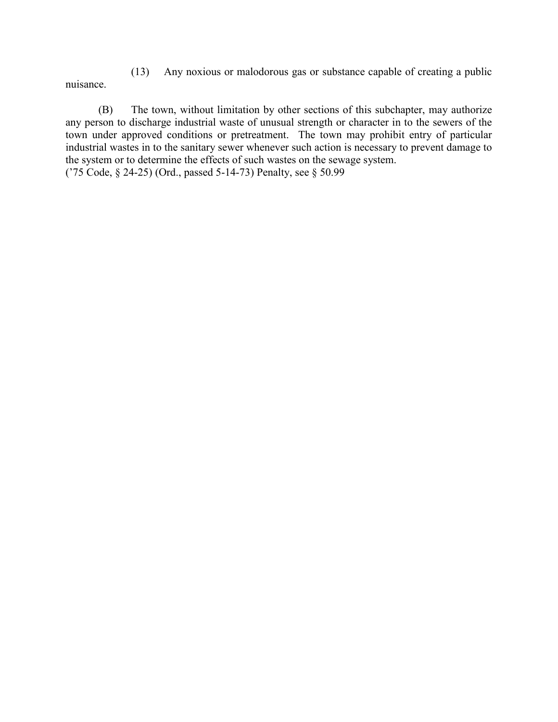(13) Any noxious or malodorous gas or substance capable of creating a public nuisance.

(B) The town, without limitation by other sections of this subchapter, may authorize any person to discharge industrial waste of unusual strength or character in to the sewers of the town under approved conditions or pretreatment. The town may prohibit entry of particular industrial wastes in to the sanitary sewer whenever such action is necessary to prevent damage to the system or to determine the effects of such wastes on the sewage system. ('75 Code, § 24-25) (Ord., passed 5-14-73) Penalty, see § 50.99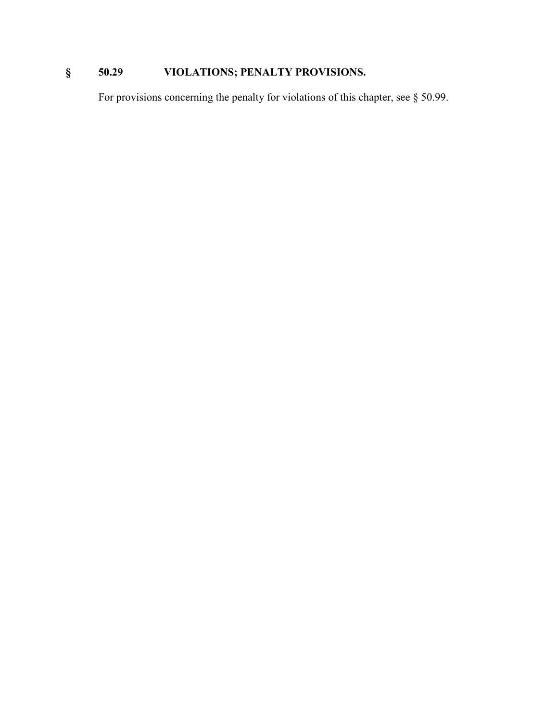# **§ 50.29 VIOLATIONS; PENALTY PROVISIONS.**

For provisions concerning the penalty for violations of this chapter, see § 50.99.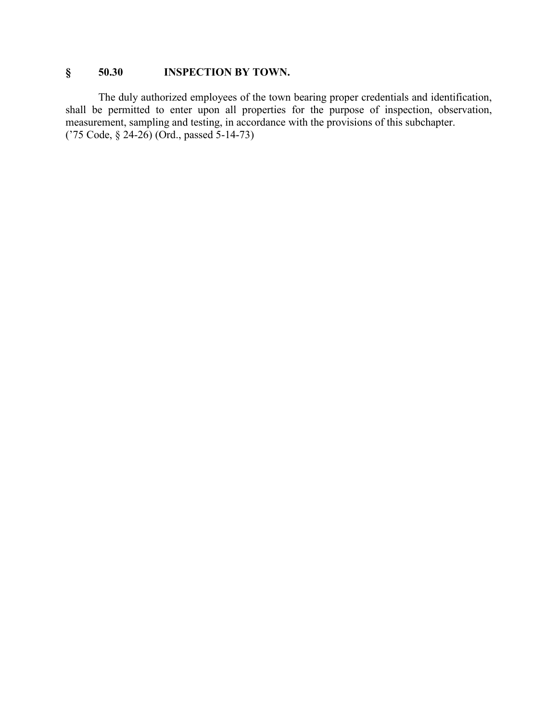## **§ 50.30 INSPECTION BY TOWN.**

The duly authorized employees of the town bearing proper credentials and identification, shall be permitted to enter upon all properties for the purpose of inspection, observation, measurement, sampling and testing, in accordance with the provisions of this subchapter. ('75 Code, § 24-26) (Ord., passed 5-14-73)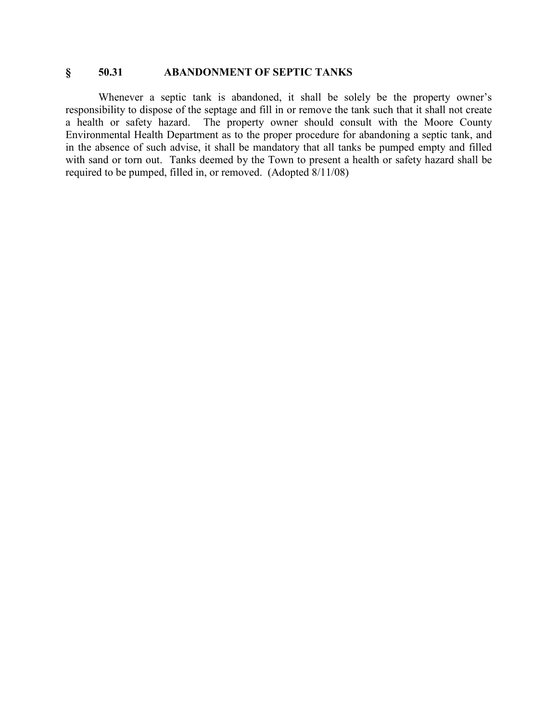#### **§ 50.31 ABANDONMENT OF SEPTIC TANKS**

Whenever a septic tank is abandoned, it shall be solely be the property owner's responsibility to dispose of the septage and fill in or remove the tank such that it shall not create a health or safety hazard. The property owner should consult with the Moore County The property owner should consult with the Moore County Environmental Health Department as to the proper procedure for abandoning a septic tank, and in the absence of such advise, it shall be mandatory that all tanks be pumped empty and filled with sand or torn out. Tanks deemed by the Town to present a health or safety hazard shall be required to be pumped, filled in, or removed. (Adopted 8/11/08)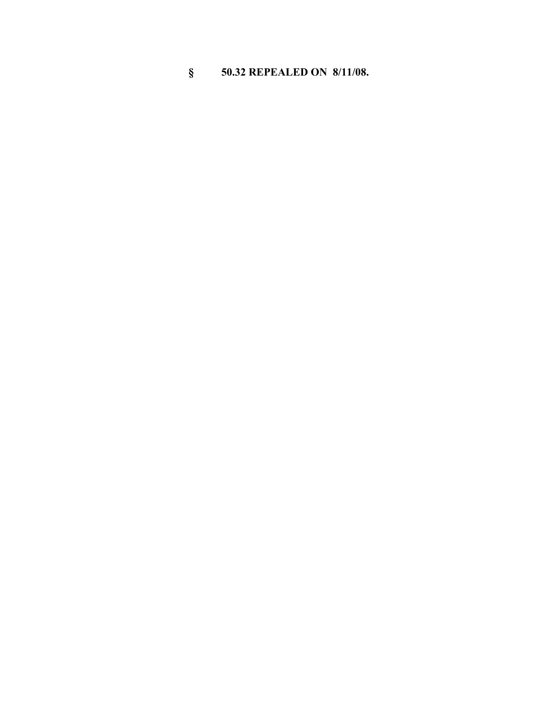# **§ 50.32 REPEALED ON 8/11/08.**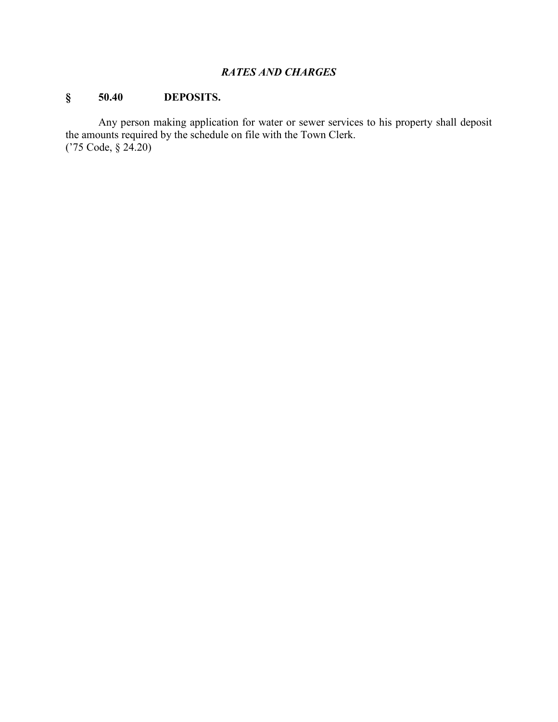#### *RATES AND CHARGES*

## **§ 50.40 DEPOSITS.**

Any person making application for water or sewer services to his property shall deposit the amounts required by the schedule on file with the Town Clerk. ('75 Code, § 24.20)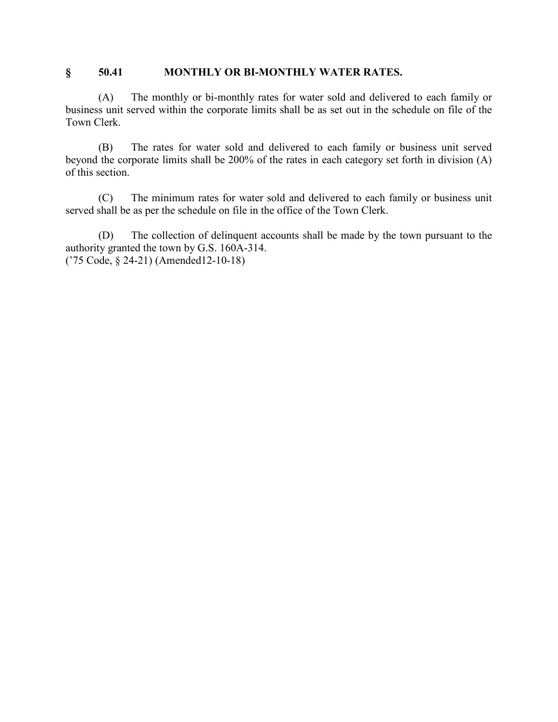#### **§ 50.41 MONTHLY OR BI-MONTHLY WATER RATES.**

(A) The monthly or bi-monthly rates for water sold and delivered to each family or business unit served within the corporate limits shall be as set out in the schedule on file of the Town Clerk.

(B) The rates for water sold and delivered to each family or business unit served beyond the corporate limits shall be 200% of the rates in each category set forth in division (A) of this section.

(C) The minimum rates for water sold and delivered to each family or business unit served shall be as per the schedule on file in the office of the Town Clerk.

(D) The collection of delinquent accounts shall be made by the town pursuant to the authority granted the town by G.S. 160A-314. ('75 Code, § 24-21) (Amended12-10-18)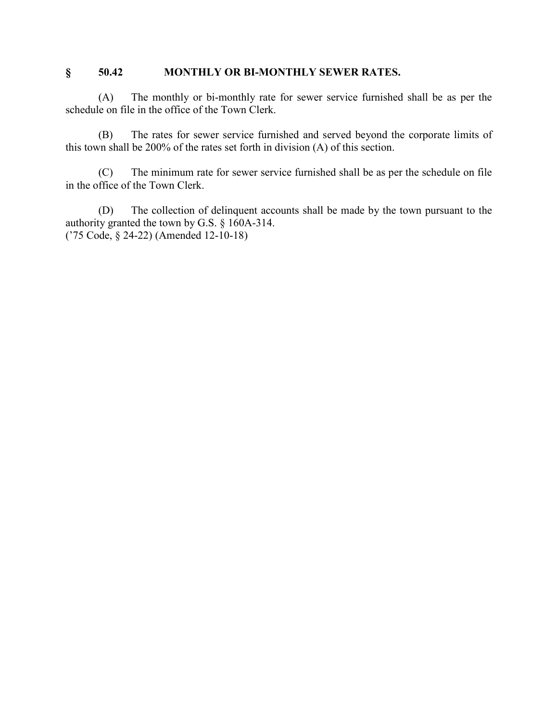#### **§ 50.42 MONTHLY OR BI-MONTHLY SEWER RATES.**

(A) The monthly or bi-monthly rate for sewer service furnished shall be as per the schedule on file in the office of the Town Clerk.

(B) The rates for sewer service furnished and served beyond the corporate limits of this town shall be 200% of the rates set forth in division (A) of this section.

(C) The minimum rate for sewer service furnished shall be as per the schedule on file in the office of the Town Clerk.

(D) The collection of delinquent accounts shall be made by the town pursuant to the authority granted the town by G.S. § 160A-314. ('75 Code, § 24-22) (Amended 12-10-18)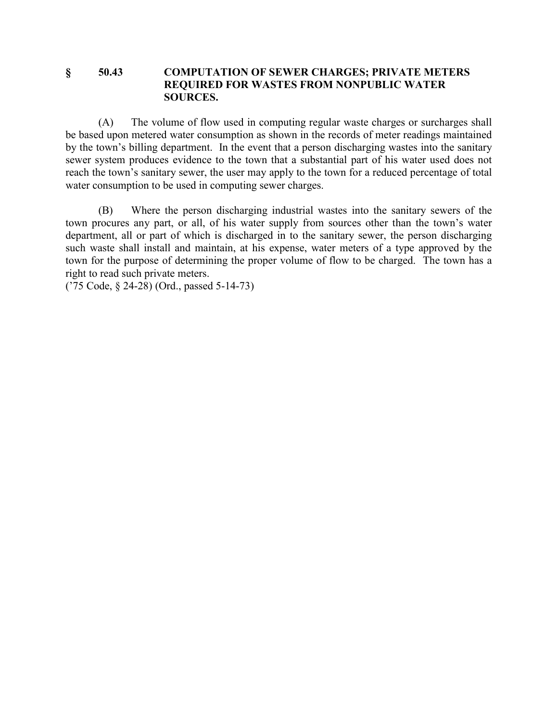#### **§ 50.43 COMPUTATION OF SEWER CHARGES; PRIVATE METERS REQUIRED FOR WASTES FROM NONPUBLIC WATER SOURCES.**

(A) The volume of flow used in computing regular waste charges or surcharges shall be based upon metered water consumption as shown in the records of meter readings maintained by the town's billing department. In the event that a person discharging wastes into the sanitary sewer system produces evidence to the town that a substantial part of his water used does not reach the town's sanitary sewer, the user may apply to the town for a reduced percentage of total water consumption to be used in computing sewer charges.

(B) Where the person discharging industrial wastes into the sanitary sewers of the town procures any part, or all, of his water supply from sources other than the town's water department, all or part of which is discharged in to the sanitary sewer, the person discharging such waste shall install and maintain, at his expense, water meters of a type approved by the town for the purpose of determining the proper volume of flow to be charged. The town has a right to read such private meters.

('75 Code, § 24-28) (Ord., passed 5-14-73)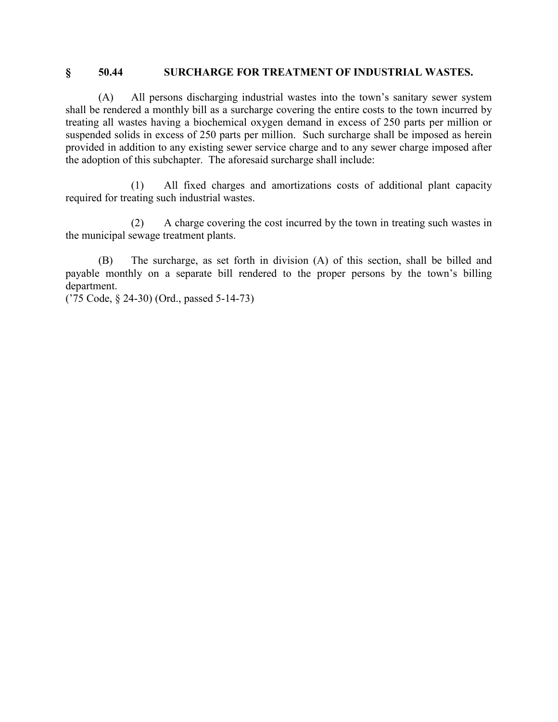#### **§ 50.44 SURCHARGE FOR TREATMENT OF INDUSTRIAL WASTES.**

(A) All persons discharging industrial wastes into the town's sanitary sewer system shall be rendered a monthly bill as a surcharge covering the entire costs to the town incurred by treating all wastes having a biochemical oxygen demand in excess of 250 parts per million or suspended solids in excess of 250 parts per million. Such surcharge shall be imposed as herein provided in addition to any existing sewer service charge and to any sewer charge imposed after the adoption of this subchapter. The aforesaid surcharge shall include:

(1) All fixed charges and amortizations costs of additional plant capacity required for treating such industrial wastes.

(2) A charge covering the cost incurred by the town in treating such wastes in the municipal sewage treatment plants.

(B) The surcharge, as set forth in division (A) of this section, shall be billed and payable monthly on a separate bill rendered to the proper persons by the town's billing department.

('75 Code, § 24-30) (Ord., passed 5-14-73)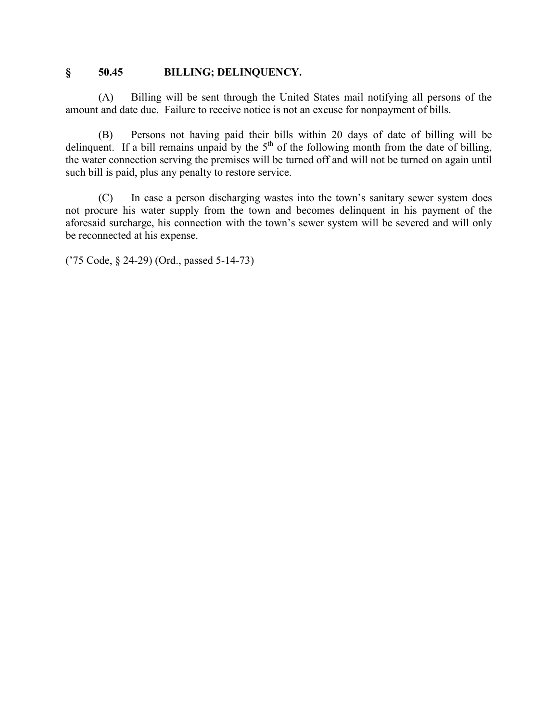#### **§ 50.45 BILLING; DELINQUENCY.**

(A) Billing will be sent through the United States mail notifying all persons of the amount and date due. Failure to receive notice is not an excuse for nonpayment of bills.

(B) Persons not having paid their bills within 20 days of date of billing will be delinquent. If a bill remains unpaid by the  $5<sup>th</sup>$  of the following month from the date of billing, the water connection serving the premises will be turned off and will not be turned on again until such bill is paid, plus any penalty to restore service.

(C) In case a person discharging wastes into the town's sanitary sewer system does not procure his water supply from the town and becomes delinquent in his payment of the aforesaid surcharge, his connection with the town's sewer system will be severed and will only be reconnected at his expense.

('75 Code, § 24-29) (Ord., passed 5-14-73)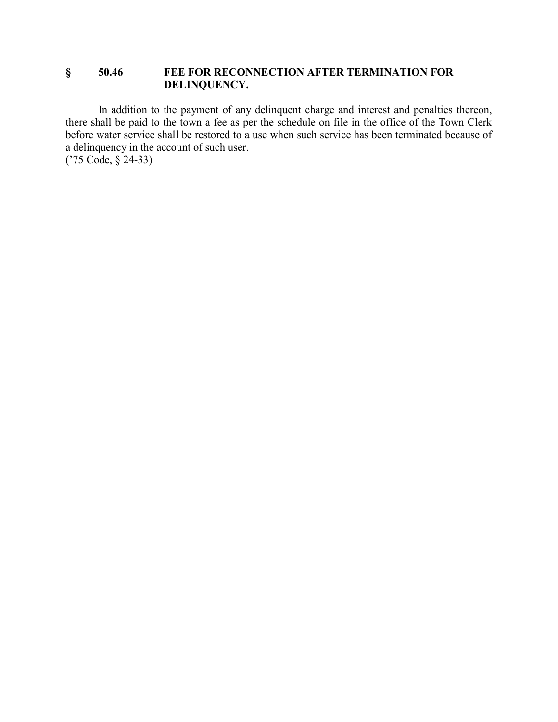#### **§ 50.46 FEE FOR RECONNECTION AFTER TERMINATION FOR DELINQUENCY.**

In addition to the payment of any delinquent charge and interest and penalties thereon, there shall be paid to the town a fee as per the schedule on file in the office of the Town Clerk before water service shall be restored to a use when such service has been terminated because of a delinquency in the account of such user. ('75 Code, § 24-33)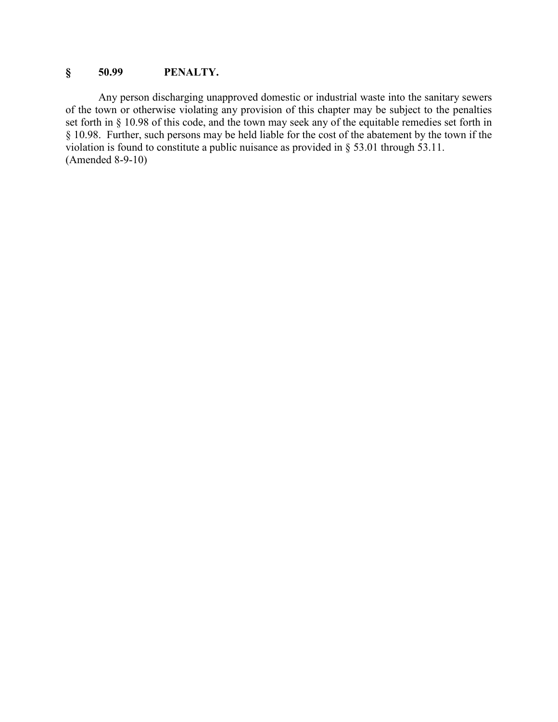### **§ 50.99 PENALTY.**

Any person discharging unapproved domestic or industrial waste into the sanitary sewers of the town or otherwise violating any provision of this chapter may be subject to the penalties set forth in § 10.98 of this code, and the town may seek any of the equitable remedies set forth in § 10.98. Further, such persons may be held liable for the cost of the abatement by the town if the violation is found to constitute a public nuisance as provided in § 53.01 through 53.11. (Amended 8-9-10)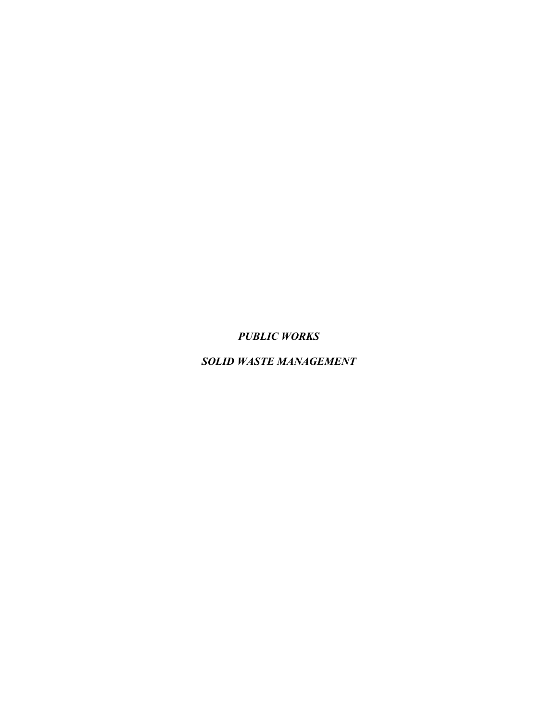*PUBLIC WORKS*

*SOLID WASTE MANAGEMENT*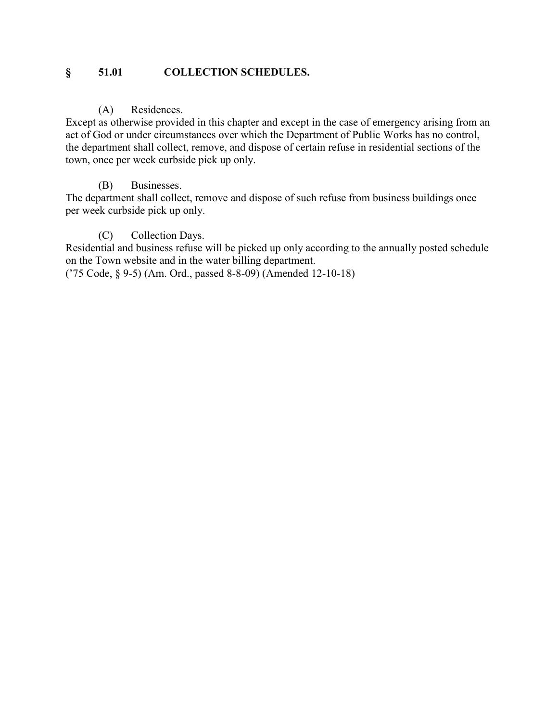### **§ 51.01 COLLECTION SCHEDULES.**

#### (A) Residences.

Except as otherwise provided in this chapter and except in the case of emergency arising from an act of God or under circumstances over which the Department of Public Works has no control, the department shall collect, remove, and dispose of certain refuse in residential sections of the town, once per week curbside pick up only.

#### (B) Businesses.

The department shall collect, remove and dispose of such refuse from business buildings once per week curbside pick up only.

#### (C) Collection Days.

Residential and business refuse will be picked up only according to the annually posted schedule on the Town website and in the water billing department.

('75 Code, § 9-5) (Am. Ord., passed 8-8-09) (Amended 12-10-18)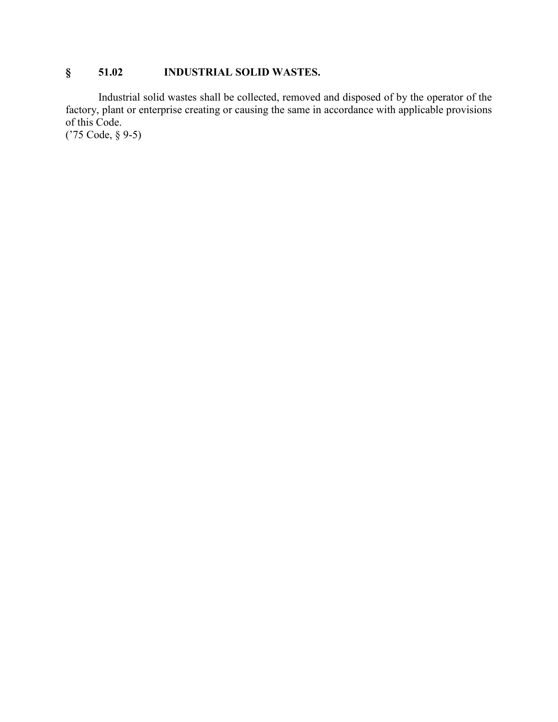## **§ 51.02 INDUSTRIAL SOLID WASTES.**

Industrial solid wastes shall be collected, removed and disposed of by the operator of the factory, plant or enterprise creating or causing the same in accordance with applicable provisions of this Code.

('75 Code, § 9-5)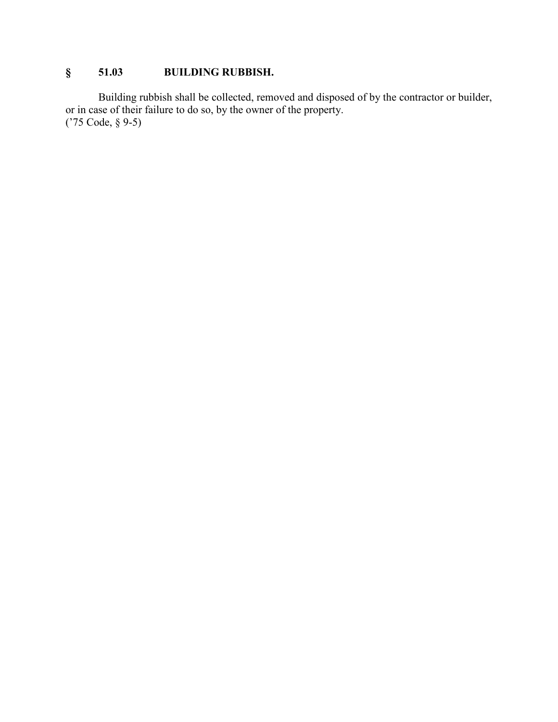# **§ 51.03 BUILDING RUBBISH.**

Building rubbish shall be collected, removed and disposed of by the contractor or builder, or in case of their failure to do so, by the owner of the property. ('75 Code, § 9-5)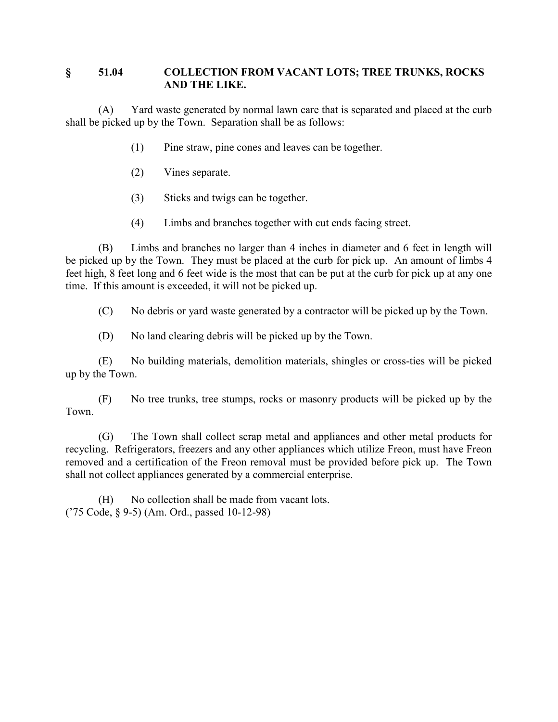### **§ 51.04 COLLECTION FROM VACANT LOTS; TREE TRUNKS, ROCKS AND THE LIKE.**

(A) Yard waste generated by normal lawn care that is separated and placed at the curb shall be picked up by the Town. Separation shall be as follows:

- (1) Pine straw, pine cones and leaves can be together.
- (2) Vines separate.
- (3) Sticks and twigs can be together.
- (4) Limbs and branches together with cut ends facing street.

(B) Limbs and branches no larger than 4 inches in diameter and 6 feet in length will be picked up by the Town. They must be placed at the curb for pick up. An amount of limbs 4 feet high, 8 feet long and 6 feet wide is the most that can be put at the curb for pick up at any one time. If this amount is exceeded, it will not be picked up.

(C) No debris or yard waste generated by a contractor will be picked up by the Town.

(D) No land clearing debris will be picked up by the Town.

(E) No building materials, demolition materials, shingles or cross-ties will be picked up by the Town.

(F) No tree trunks, tree stumps, rocks or masonry products will be picked up by the Town.

(G) The Town shall collect scrap metal and appliances and other metal products for recycling. Refrigerators, freezers and any other appliances which utilize Freon, must have Freon removed and a certification of the Freon removal must be provided before pick up. The Town shall not collect appliances generated by a commercial enterprise.

(H) No collection shall be made from vacant lots. ('75 Code, § 9-5) (Am. Ord., passed 10-12-98)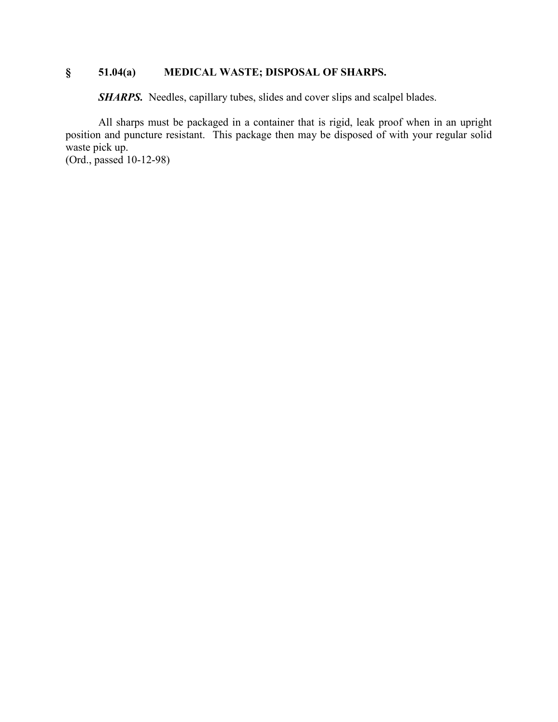# **§ 51.04(a) MEDICAL WASTE; DISPOSAL OF SHARPS.**

**SHARPS.** Needles, capillary tubes, slides and cover slips and scalpel blades.

All sharps must be packaged in a container that is rigid, leak proof when in an upright position and puncture resistant. This package then may be disposed of with your regular solid waste pick up.

(Ord., passed 10-12-98)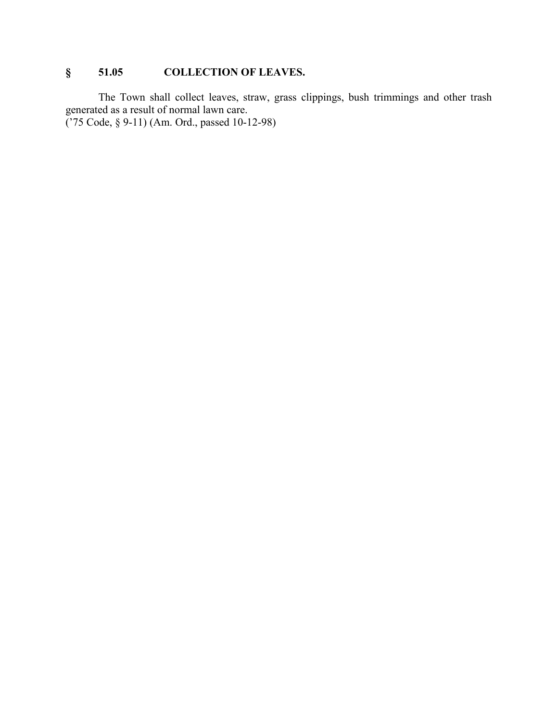# **§ 51.05 COLLECTION OF LEAVES.**

The Town shall collect leaves, straw, grass clippings, bush trimmings and other trash generated as a result of normal lawn care. ('75 Code, § 9-11) (Am. Ord., passed 10-12-98)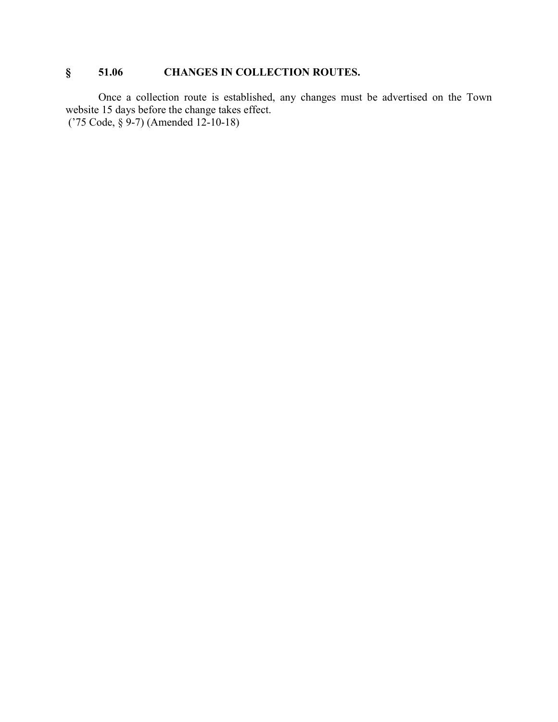# **§ 51.06 CHANGES IN COLLECTION ROUTES.**

Once a collection route is established, any changes must be advertised on the Town website 15 days before the change takes effect. ('75 Code, § 9-7) (Amended 12-10-18)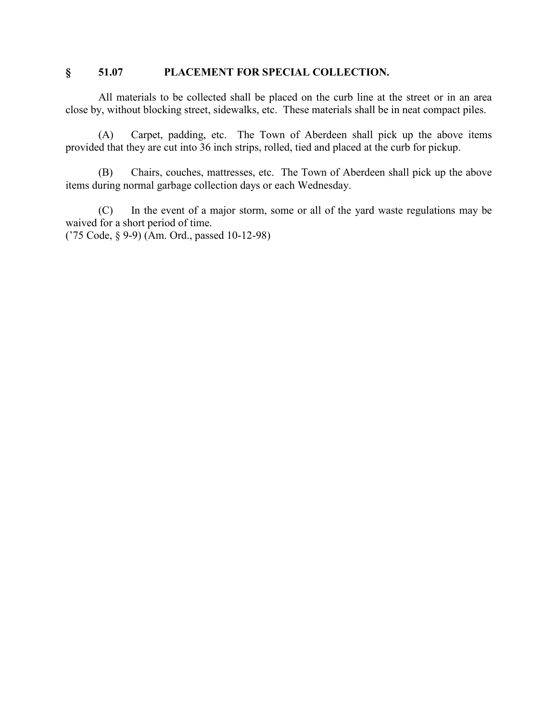## **§ 51.07 PLACEMENT FOR SPECIAL COLLECTION.**

All materials to be collected shall be placed on the curb line at the street or in an area close by, without blocking street, sidewalks, etc. These materials shall be in neat compact piles.

(A) Carpet, padding, etc. The Town of Aberdeen shall pick up the above items provided that they are cut into 36 inch strips, rolled, tied and placed at the curb for pickup.

(B) Chairs, couches, mattresses, etc. The Town of Aberdeen shall pick up the above items during normal garbage collection days or each Wednesday.

(C) In the event of a major storm, some or all of the yard waste regulations may be waived for a short period of time.

('75 Code, § 9-9) (Am. Ord., passed 10-12-98)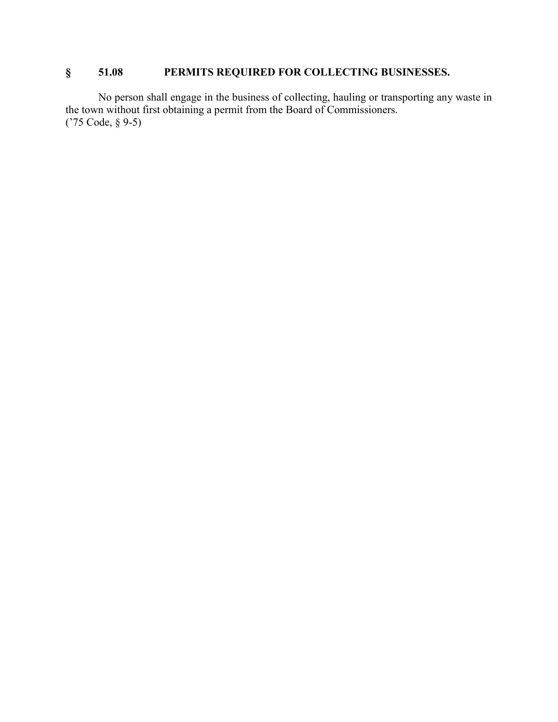# **§ 51.08 PERMITS REQUIRED FOR COLLECTING BUSINESSES.**

No person shall engage in the business of collecting, hauling or transporting any waste in the town without first obtaining a permit from the Board of Commissioners. ('75 Code, § 9-5)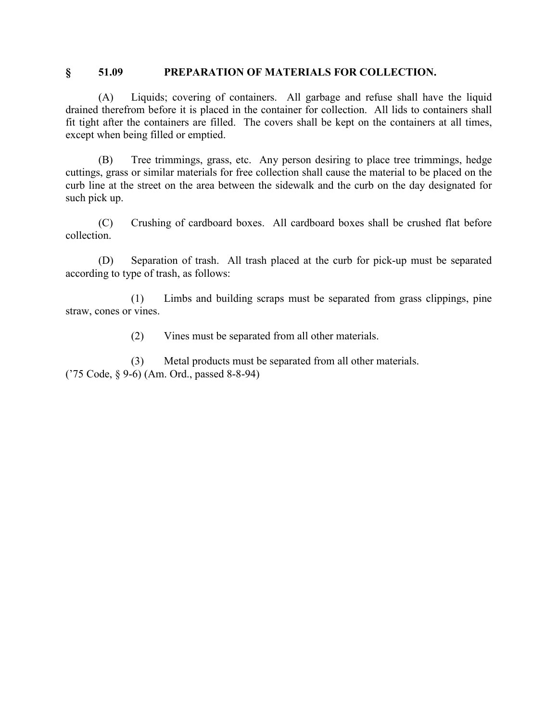#### **§ 51.09 PREPARATION OF MATERIALS FOR COLLECTION.**

(A) Liquids; covering of containers. All garbage and refuse shall have the liquid drained therefrom before it is placed in the container for collection. All lids to containers shall fit tight after the containers are filled. The covers shall be kept on the containers at all times, except when being filled or emptied.

(B) Tree trimmings, grass, etc. Any person desiring to place tree trimmings, hedge cuttings, grass or similar materials for free collection shall cause the material to be placed on the curb line at the street on the area between the sidewalk and the curb on the day designated for such pick up.

(C) Crushing of cardboard boxes. All cardboard boxes shall be crushed flat before collection.

(D) Separation of trash. All trash placed at the curb for pick-up must be separated according to type of trash, as follows:

(1) Limbs and building scraps must be separated from grass clippings, pine straw, cones or vines.

(2) Vines must be separated from all other materials.

(3) Metal products must be separated from all other materials. ('75 Code, § 9-6) (Am. Ord., passed 8-8-94)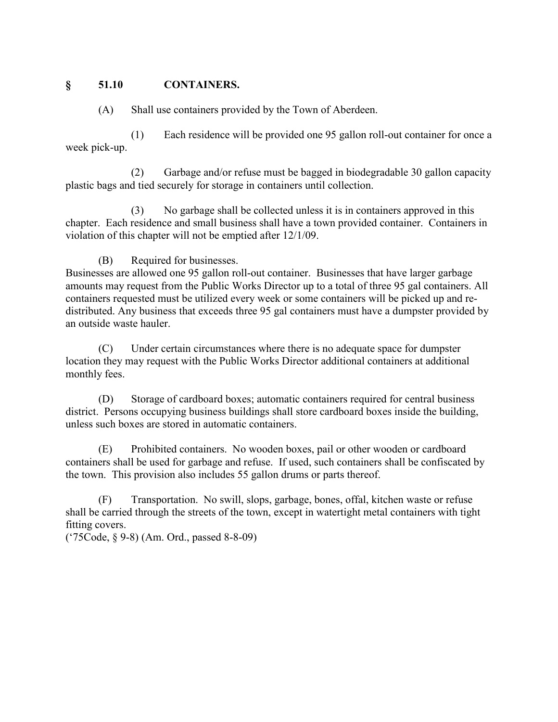## **§ 51.10 CONTAINERS.**

(A) Shall use containers provided by the Town of Aberdeen.

(1) Each residence will be provided one 95 gallon roll-out container for once a week pick-up.

(2) Garbage and/or refuse must be bagged in biodegradable 30 gallon capacity plastic bags and tied securely for storage in containers until collection.

(3) No garbage shall be collected unless it is in containers approved in this chapter. Each residence and small business shall have a town provided container. Containers in violation of this chapter will not be emptied after 12/1/09.

## (B) Required for businesses.

Businesses are allowed one 95 gallon roll-out container. Businesses that have larger garbage amounts may request from the Public Works Director up to a total of three 95 gal containers. All containers requested must be utilized every week or some containers will be picked up and redistributed. Any business that exceeds three 95 gal containers must have a dumpster provided by an outside waste hauler.

(C) Under certain circumstances where there is no adequate space for dumpster location they may request with the Public Works Director additional containers at additional monthly fees.

(D) Storage of cardboard boxes; automatic containers required for central business district. Persons occupying business buildings shall store cardboard boxes inside the building, unless such boxes are stored in automatic containers.

(E) Prohibited containers. No wooden boxes, pail or other wooden or cardboard containers shall be used for garbage and refuse. If used, such containers shall be confiscated by the town. This provision also includes 55 gallon drums or parts thereof.

(F) Transportation. No swill, slops, garbage, bones, offal, kitchen waste or refuse shall be carried through the streets of the town, except in watertight metal containers with tight fitting covers.

('75Code, § 9-8) (Am. Ord., passed 8-8-09)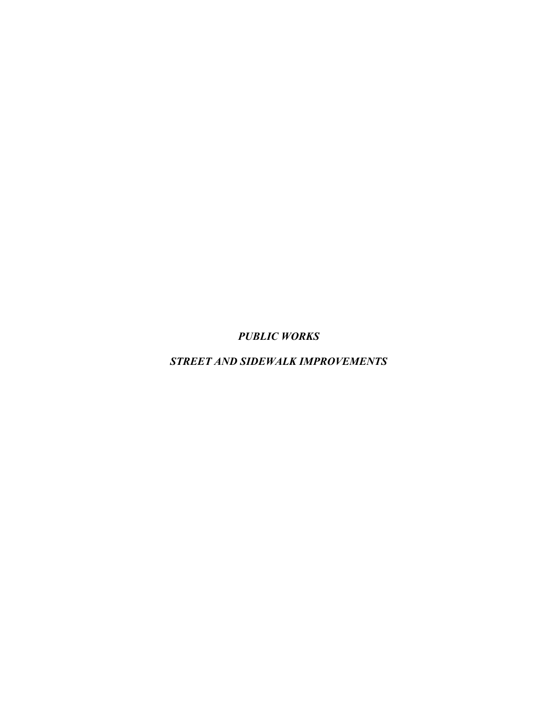*PUBLIC WORKS*

*STREET AND SIDEWALK IMPROVEMENTS*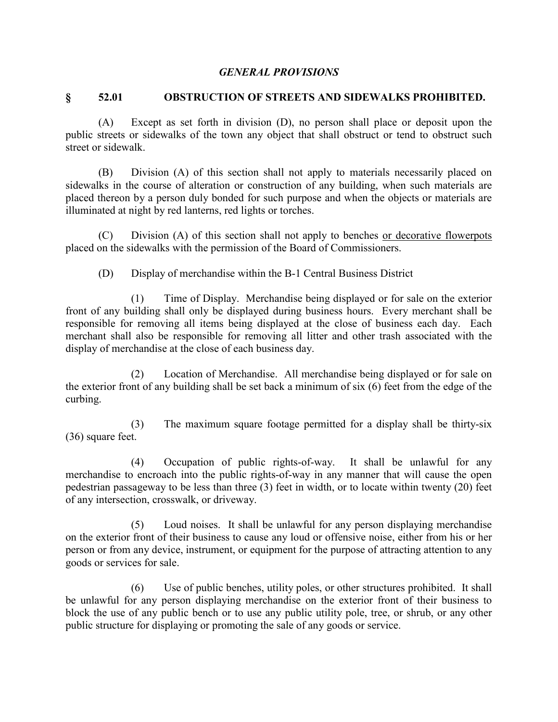### *GENERAL PROVISIONS*

## **§ 52.01 OBSTRUCTION OF STREETS AND SIDEWALKS PROHIBITED.**

(A) Except as set forth in division (D), no person shall place or deposit upon the public streets or sidewalks of the town any object that shall obstruct or tend to obstruct such street or sidewalk.

(B) Division (A) of this section shall not apply to materials necessarily placed on sidewalks in the course of alteration or construction of any building, when such materials are placed thereon by a person duly bonded for such purpose and when the objects or materials are illuminated at night by red lanterns, red lights or torches.

(C) Division (A) of this section shall not apply to benches or decorative flowerpots placed on the sidewalks with the permission of the Board of Commissioners.

(D) Display of merchandise within the B-1 Central Business District

(1) Time of Display. Merchandise being displayed or for sale on the exterior front of any building shall only be displayed during business hours. Every merchant shall be responsible for removing all items being displayed at the close of business each day. Each merchant shall also be responsible for removing all litter and other trash associated with the display of merchandise at the close of each business day.

(2) Location of Merchandise. All merchandise being displayed or for sale on the exterior front of any building shall be set back a minimum of six (6) feet from the edge of the curbing.

(3) The maximum square footage permitted for a display shall be thirty-six (36) square feet.

(4) Occupation of public rights-of-way. It shall be unlawful for any merchandise to encroach into the public rights-of-way in any manner that will cause the open pedestrian passageway to be less than three (3) feet in width, or to locate within twenty (20) feet of any intersection, crosswalk, or driveway.

(5) Loud noises. It shall be unlawful for any person displaying merchandise on the exterior front of their business to cause any loud or offensive noise, either from his or her person or from any device, instrument, or equipment for the purpose of attracting attention to any goods or services for sale.

(6) Use of public benches, utility poles, or other structures prohibited. It shall be unlawful for any person displaying merchandise on the exterior front of their business to block the use of any public bench or to use any public utility pole, tree, or shrub, or any other public structure for displaying or promoting the sale of any goods or service.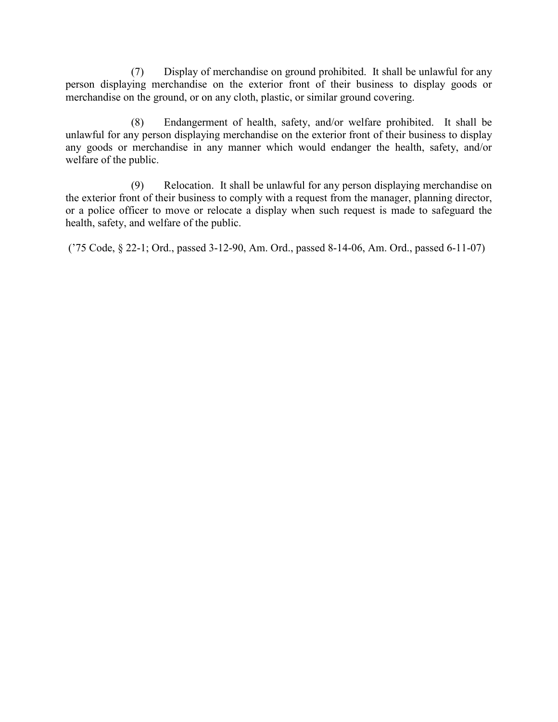(7) Display of merchandise on ground prohibited. It shall be unlawful for any person displaying merchandise on the exterior front of their business to display goods or merchandise on the ground, or on any cloth, plastic, or similar ground covering.

(8) Endangerment of health, safety, and/or welfare prohibited. It shall be unlawful for any person displaying merchandise on the exterior front of their business to display any goods or merchandise in any manner which would endanger the health, safety, and/or welfare of the public.

(9) Relocation. It shall be unlawful for any person displaying merchandise on the exterior front of their business to comply with a request from the manager, planning director, or a police officer to move or relocate a display when such request is made to safeguard the health, safety, and welfare of the public.

('75 Code, § 22-1; Ord., passed 3-12-90, Am. Ord., passed 8-14-06, Am. Ord., passed 6-11-07)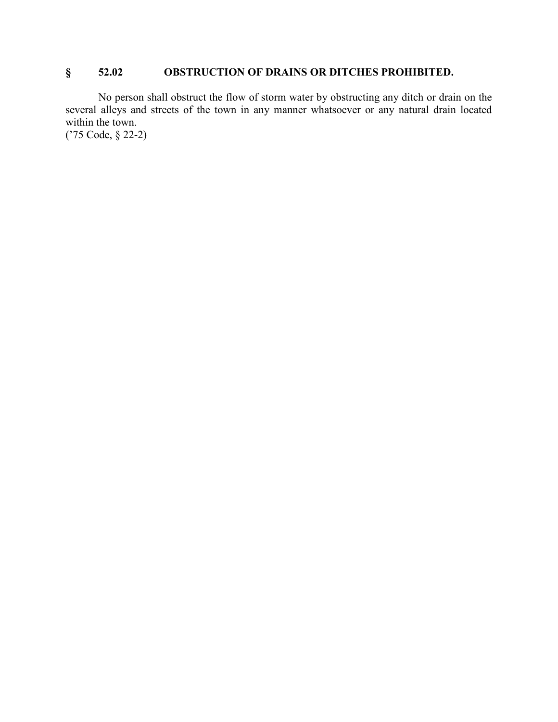# **§ 52.02 OBSTRUCTION OF DRAINS OR DITCHES PROHIBITED.**

No person shall obstruct the flow of storm water by obstructing any ditch or drain on the several alleys and streets of the town in any manner whatsoever or any natural drain located within the town.

('75 Code, § 22-2)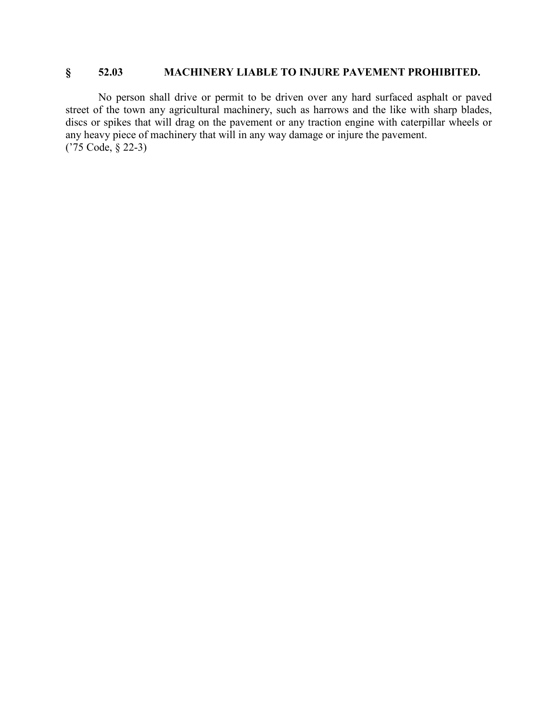## **§ 52.03 MACHINERY LIABLE TO INJURE PAVEMENT PROHIBITED.**

No person shall drive or permit to be driven over any hard surfaced asphalt or paved street of the town any agricultural machinery, such as harrows and the like with sharp blades, discs or spikes that will drag on the pavement or any traction engine with caterpillar wheels or any heavy piece of machinery that will in any way damage or injure the pavement. ('75 Code, § 22-3)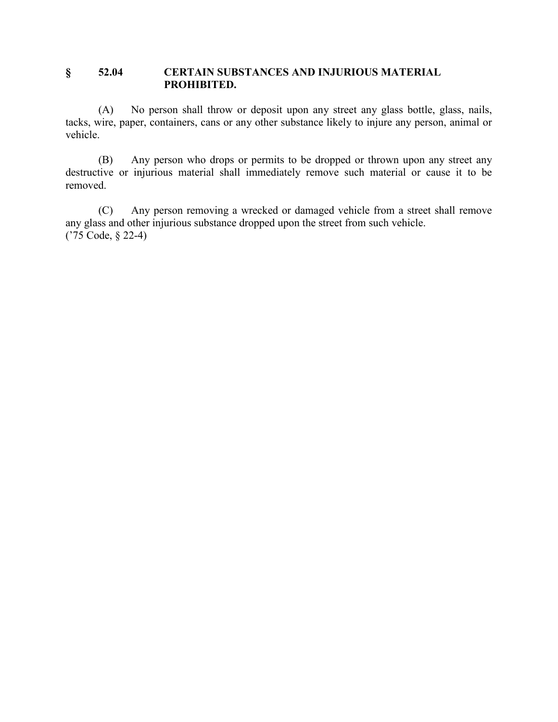## **§ 52.04 CERTAIN SUBSTANCES AND INJURIOUS MATERIAL PROHIBITED.**

(A) No person shall throw or deposit upon any street any glass bottle, glass, nails, tacks, wire, paper, containers, cans or any other substance likely to injure any person, animal or vehicle.

(B) Any person who drops or permits to be dropped or thrown upon any street any destructive or injurious material shall immediately remove such material or cause it to be removed.

(C) Any person removing a wrecked or damaged vehicle from a street shall remove any glass and other injurious substance dropped upon the street from such vehicle. ('75 Code, § 22-4)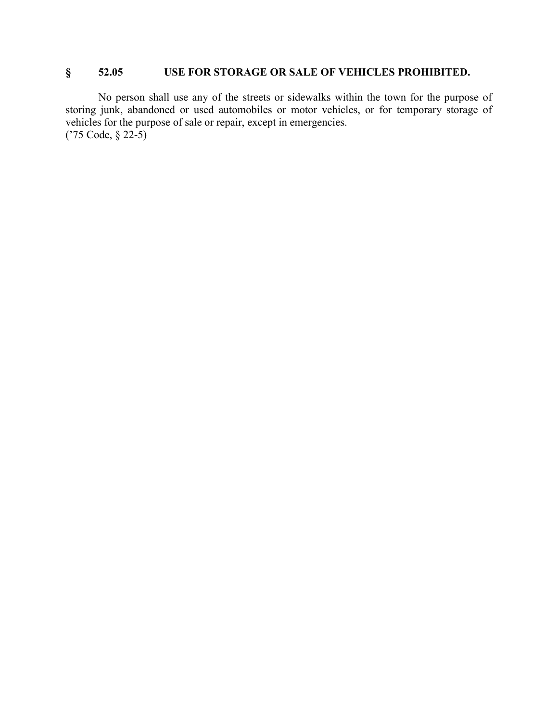# **§ 52.05 USE FOR STORAGE OR SALE OF VEHICLES PROHIBITED.**

No person shall use any of the streets or sidewalks within the town for the purpose of storing junk, abandoned or used automobiles or motor vehicles, or for temporary storage of vehicles for the purpose of sale or repair, except in emergencies. ('75 Code, § 22-5)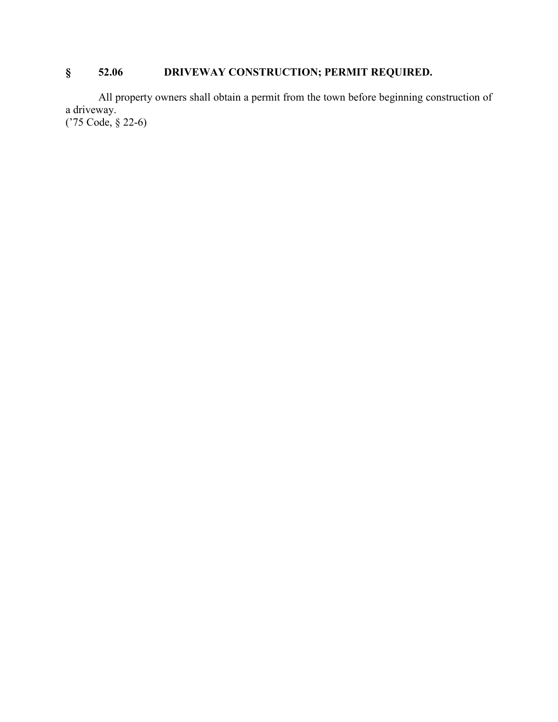# **§ 52.06 DRIVEWAY CONSTRUCTION; PERMIT REQUIRED.**

All property owners shall obtain a permit from the town before beginning construction of a driveway. ('75 Code, § 22-6)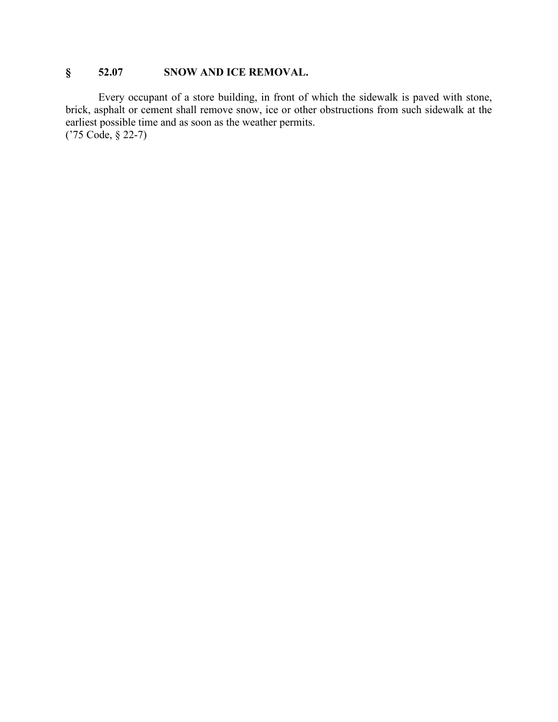# **§ 52.07 SNOW AND ICE REMOVAL.**

Every occupant of a store building, in front of which the sidewalk is paved with stone, brick, asphalt or cement shall remove snow, ice or other obstructions from such sidewalk at the earliest possible time and as soon as the weather permits. ('75 Code, § 22-7)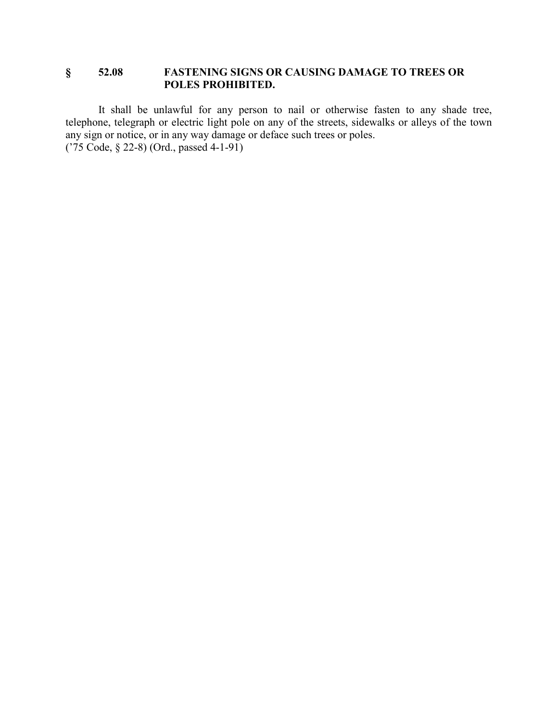## **§ 52.08 FASTENING SIGNS OR CAUSING DAMAGE TO TREES OR POLES PROHIBITED.**

It shall be unlawful for any person to nail or otherwise fasten to any shade tree, telephone, telegraph or electric light pole on any of the streets, sidewalks or alleys of the town any sign or notice, or in any way damage or deface such trees or poles. ('75 Code, § 22-8) (Ord., passed 4-1-91)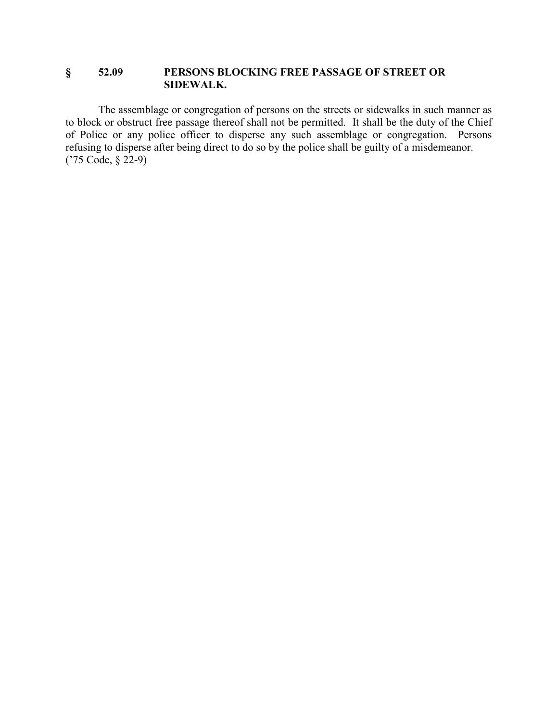## **§ 52.09 PERSONS BLOCKING FREE PASSAGE OF STREET OR SIDEWALK.**

The assemblage or congregation of persons on the streets or sidewalks in such manner as to block or obstruct free passage thereof shall not be permitted. It shall be the duty of the Chief of Police or any police officer to disperse any such assemblage or congregation. Persons refusing to disperse after being direct to do so by the police shall be guilty of a misdemeanor. ('75 Code, § 22-9)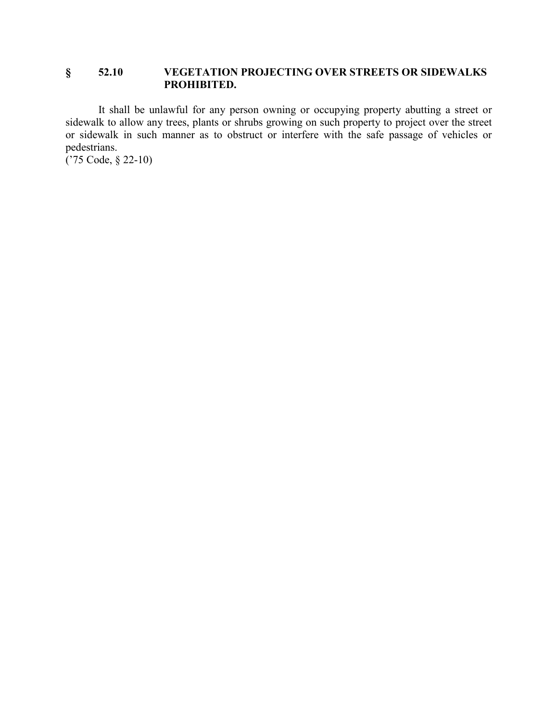## **§ 52.10 VEGETATION PROJECTING OVER STREETS OR SIDEWALKS PROHIBITED.**

It shall be unlawful for any person owning or occupying property abutting a street or sidewalk to allow any trees, plants or shrubs growing on such property to project over the street or sidewalk in such manner as to obstruct or interfere with the safe passage of vehicles or pedestrians.

('75 Code, § 22-10)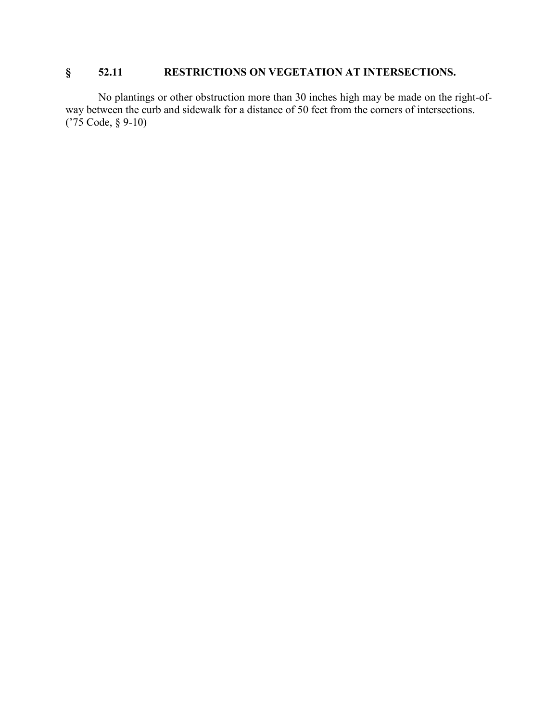# **§ 52.11 RESTRICTIONS ON VEGETATION AT INTERSECTIONS.**

No plantings or other obstruction more than 30 inches high may be made on the right-ofway between the curb and sidewalk for a distance of 50 feet from the corners of intersections. ('75 Code, § 9-10)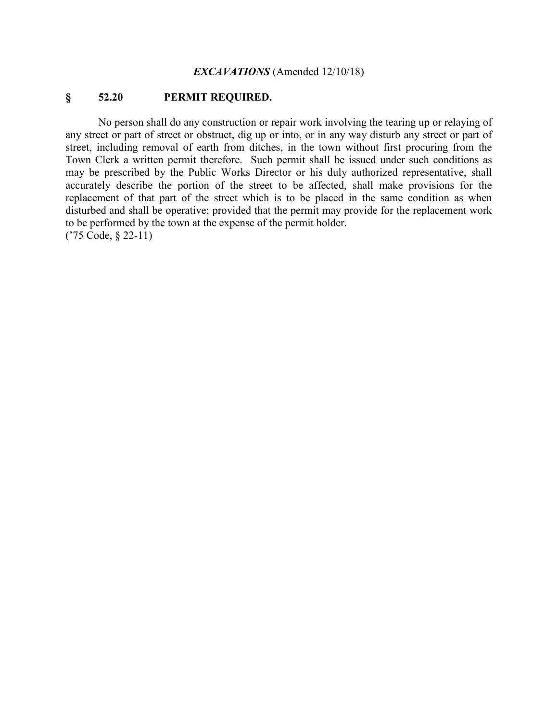#### *EXCAVATIONS* (Amended 12/10/18)

## **§ 52.20 PERMIT REQUIRED.**

No person shall do any construction or repair work involving the tearing up or relaying of any street or part of street or obstruct, dig up or into, or in any way disturb any street or part of street, including removal of earth from ditches, in the town without first procuring from the Town Clerk a written permit therefore. Such permit shall be issued under such conditions as may be prescribed by the Public Works Director or his duly authorized representative, shall accurately describe the portion of the street to be affected, shall make provisions for the replacement of that part of the street which is to be placed in the same condition as when disturbed and shall be operative; provided that the permit may provide for the replacement work to be performed by the town at the expense of the permit holder. ('75 Code, § 22-11)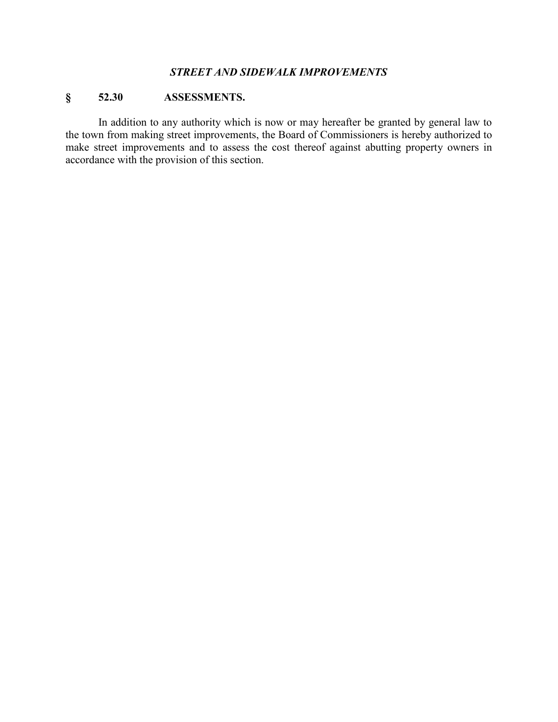## *STREET AND SIDEWALK IMPROVEMENTS*

# **§ 52.30 ASSESSMENTS.**

In addition to any authority which is now or may hereafter be granted by general law to the town from making street improvements, the Board of Commissioners is hereby authorized to make street improvements and to assess the cost thereof against abutting property owners in accordance with the provision of this section.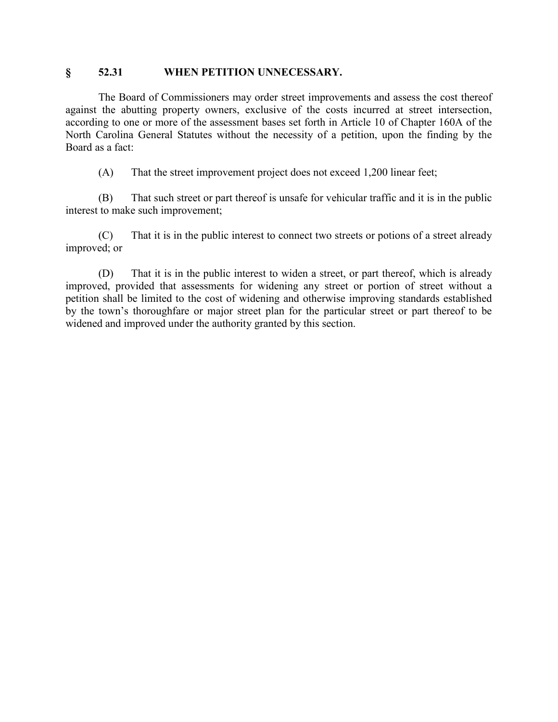### **§ 52.31 WHEN PETITION UNNECESSARY.**

The Board of Commissioners may order street improvements and assess the cost thereof against the abutting property owners, exclusive of the costs incurred at street intersection, according to one or more of the assessment bases set forth in Article 10 of Chapter 160A of the North Carolina General Statutes without the necessity of a petition, upon the finding by the Board as a fact:

(A) That the street improvement project does not exceed 1,200 linear feet;

(B) That such street or part thereof is unsafe for vehicular traffic and it is in the public interest to make such improvement;

(C) That it is in the public interest to connect two streets or potions of a street already improved; or

(D) That it is in the public interest to widen a street, or part thereof, which is already improved, provided that assessments for widening any street or portion of street without a petition shall be limited to the cost of widening and otherwise improving standards established by the town's thoroughfare or major street plan for the particular street or part thereof to be widened and improved under the authority granted by this section.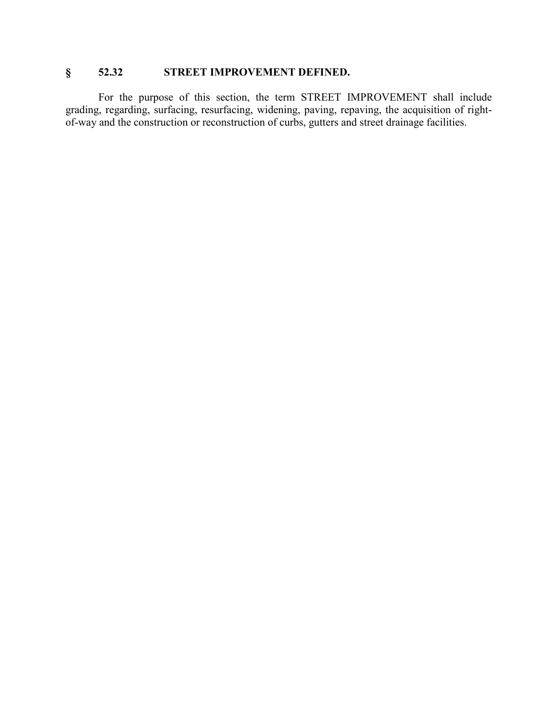# **§ 52.32 STREET IMPROVEMENT DEFINED.**

For the purpose of this section, the term STREET IMPROVEMENT shall include grading, regarding, surfacing, resurfacing, widening, paving, repaving, the acquisition of rightof-way and the construction or reconstruction of curbs, gutters and street drainage facilities.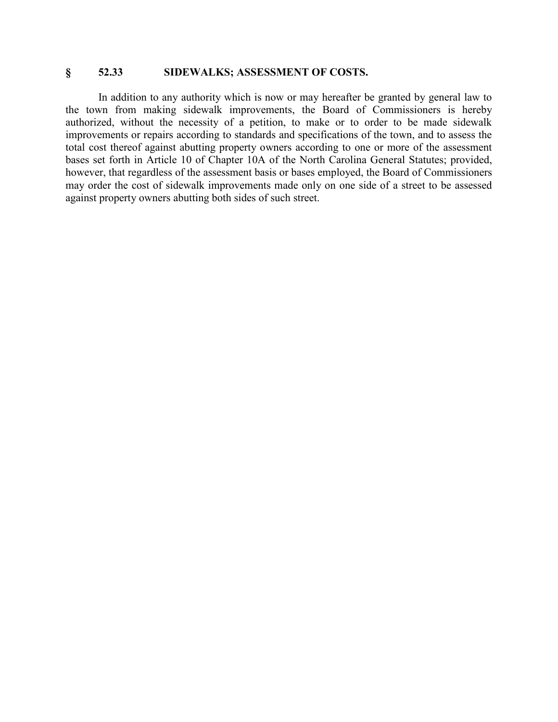### **§ 52.33 SIDEWALKS; ASSESSMENT OF COSTS.**

In addition to any authority which is now or may hereafter be granted by general law to the town from making sidewalk improvements, the Board of Commissioners is hereby authorized, without the necessity of a petition, to make or to order to be made sidewalk improvements or repairs according to standards and specifications of the town, and to assess the total cost thereof against abutting property owners according to one or more of the assessment bases set forth in Article 10 of Chapter 10A of the North Carolina General Statutes; provided, however, that regardless of the assessment basis or bases employed, the Board of Commissioners may order the cost of sidewalk improvements made only on one side of a street to be assessed against property owners abutting both sides of such street.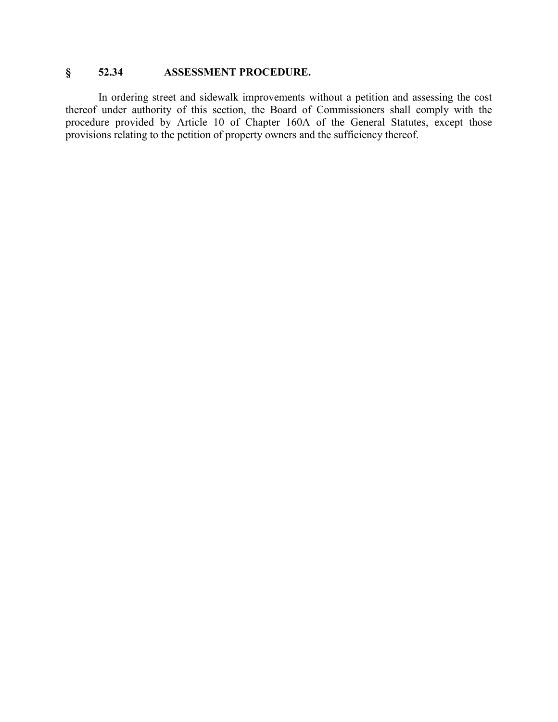# **§ 52.34 ASSESSMENT PROCEDURE.**

In ordering street and sidewalk improvements without a petition and assessing the cost thereof under authority of this section, the Board of Commissioners shall comply with the procedure provided by Article 10 of Chapter 160A of the General Statutes, except those provisions relating to the petition of property owners and the sufficiency thereof.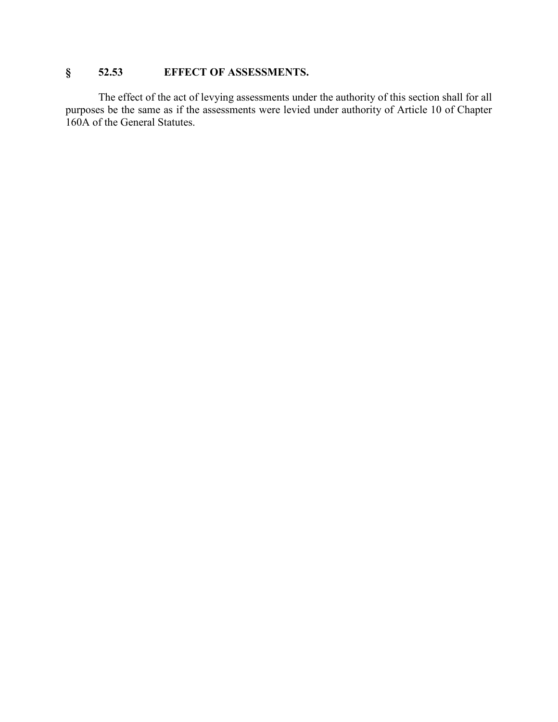# **§ 52.53 EFFECT OF ASSESSMENTS.**

The effect of the act of levying assessments under the authority of this section shall for all purposes be the same as if the assessments were levied under authority of Article 10 of Chapter 160A of the General Statutes.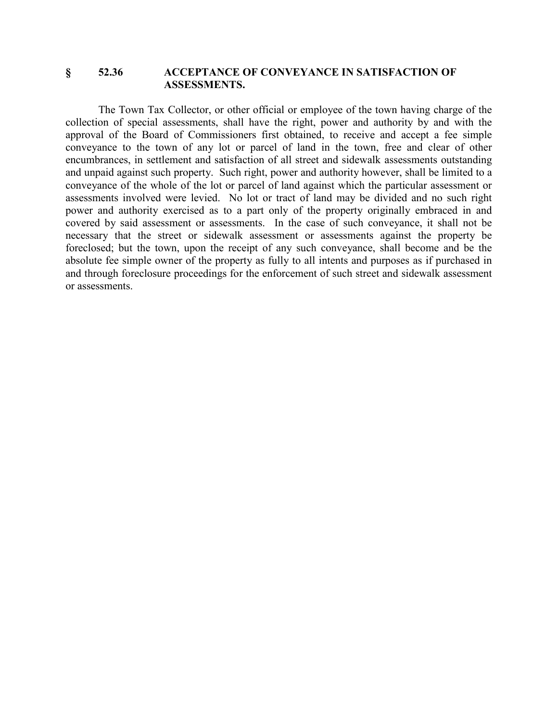#### **§ 52.36 ACCEPTANCE OF CONVEYANCE IN SATISFACTION OF ASSESSMENTS.**

The Town Tax Collector, or other official or employee of the town having charge of the collection of special assessments, shall have the right, power and authority by and with the approval of the Board of Commissioners first obtained, to receive and accept a fee simple conveyance to the town of any lot or parcel of land in the town, free and clear of other encumbrances, in settlement and satisfaction of all street and sidewalk assessments outstanding and unpaid against such property. Such right, power and authority however, shall be limited to a conveyance of the whole of the lot or parcel of land against which the particular assessment or assessments involved were levied. No lot or tract of land may be divided and no such right power and authority exercised as to a part only of the property originally embraced in and covered by said assessment or assessments. In the case of such conveyance, it shall not be necessary that the street or sidewalk assessment or assessments against the property be foreclosed; but the town, upon the receipt of any such conveyance, shall become and be the absolute fee simple owner of the property as fully to all intents and purposes as if purchased in and through foreclosure proceedings for the enforcement of such street and sidewalk assessment or assessments.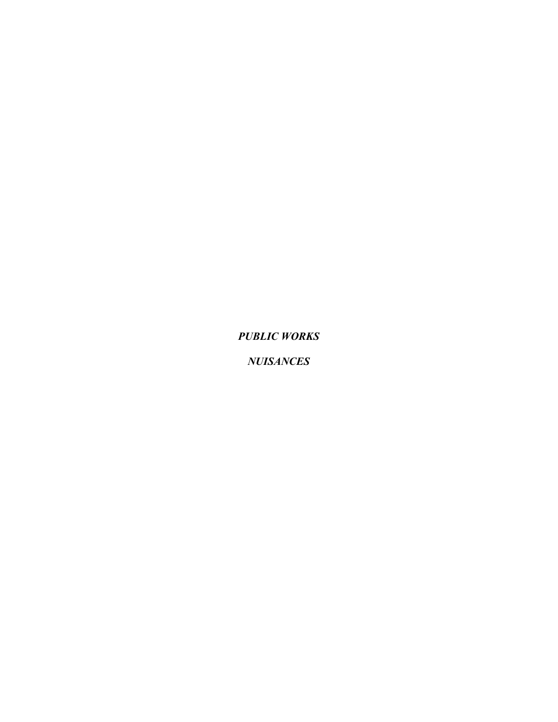*PUBLIC WORKS*

*NUISANCES*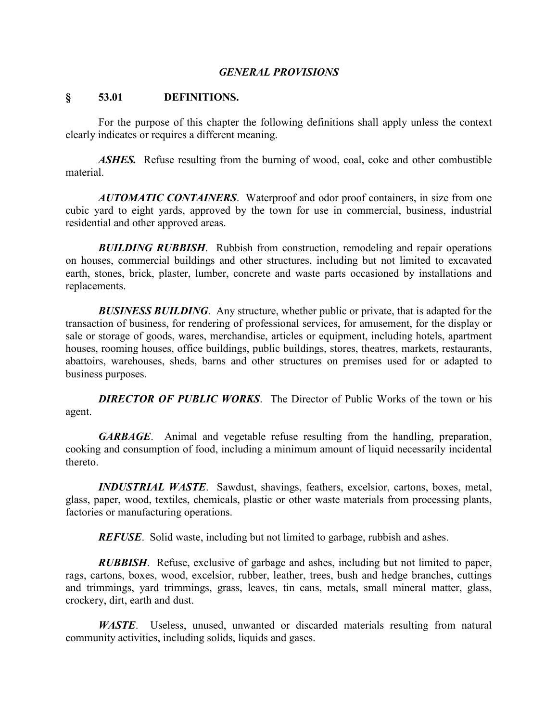#### *GENERAL PROVISIONS*

#### **§ 53.01 DEFINITIONS.**

For the purpose of this chapter the following definitions shall apply unless the context clearly indicates or requires a different meaning.

*ASHES.* Refuse resulting from the burning of wood, coal, coke and other combustible material.

*AUTOMATIC CONTAINERS*. Waterproof and odor proof containers, in size from one cubic yard to eight yards, approved by the town for use in commercial, business, industrial residential and other approved areas.

*BUILDING RUBBISH*. Rubbish from construction, remodeling and repair operations on houses, commercial buildings and other structures, including but not limited to excavated earth, stones, brick, plaster, lumber, concrete and waste parts occasioned by installations and replacements.

**BUSINESS BUILDING**. Any structure, whether public or private, that is adapted for the transaction of business, for rendering of professional services, for amusement, for the display or sale or storage of goods, wares, merchandise, articles or equipment, including hotels, apartment houses, rooming houses, office buildings, public buildings, stores, theatres, markets, restaurants, abattoirs, warehouses, sheds, barns and other structures on premises used for or adapted to business purposes.

*DIRECTOR OF PUBLIC WORKS*. The Director of Public Works of the town or his agent.

*GARBAGE*. Animal and vegetable refuse resulting from the handling, preparation, cooking and consumption of food, including a minimum amount of liquid necessarily incidental thereto.

*INDUSTRIAL WASTE*. Sawdust, shavings, feathers, excelsior, cartons, boxes, metal, glass, paper, wood, textiles, chemicals, plastic or other waste materials from processing plants, factories or manufacturing operations.

*REFUSE*. Solid waste, including but not limited to garbage, rubbish and ashes.

*RUBBISH*. Refuse, exclusive of garbage and ashes, including but not limited to paper, rags, cartons, boxes, wood, excelsior, rubber, leather, trees, bush and hedge branches, cuttings and trimmings, yard trimmings, grass, leaves, tin cans, metals, small mineral matter, glass, crockery, dirt, earth and dust.

*WASTE*. Useless, unused, unwanted or discarded materials resulting from natural community activities, including solids, liquids and gases.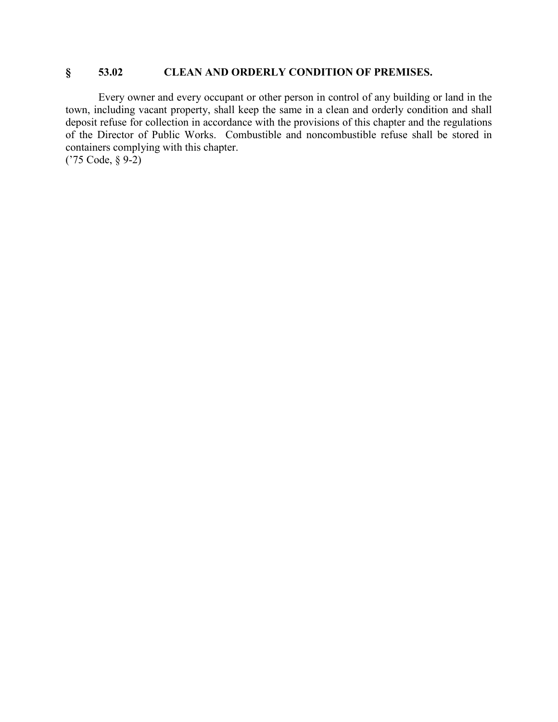## **§ 53.02 CLEAN AND ORDERLY CONDITION OF PREMISES.**

Every owner and every occupant or other person in control of any building or land in the town, including vacant property, shall keep the same in a clean and orderly condition and shall deposit refuse for collection in accordance with the provisions of this chapter and the regulations of the Director of Public Works. Combustible and noncombustible refuse shall be stored in containers complying with this chapter. ('75 Code, § 9-2)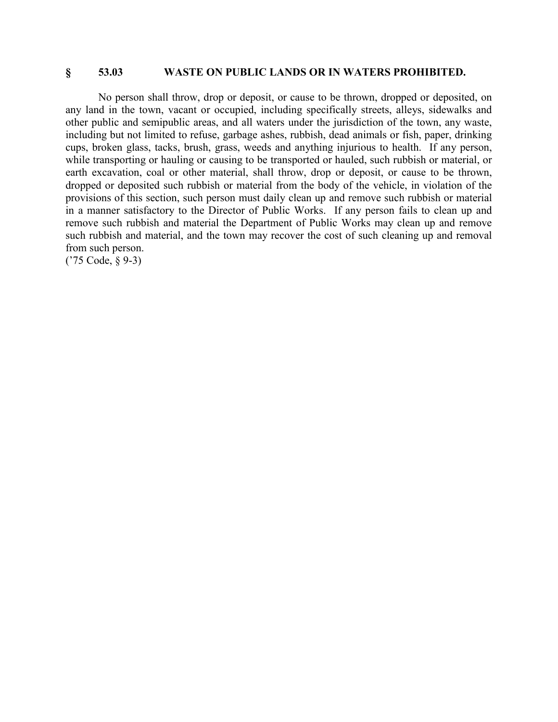#### **§ 53.03 WASTE ON PUBLIC LANDS OR IN WATERS PROHIBITED.**

No person shall throw, drop or deposit, or cause to be thrown, dropped or deposited, on any land in the town, vacant or occupied, including specifically streets, alleys, sidewalks and other public and semipublic areas, and all waters under the jurisdiction of the town, any waste, including but not limited to refuse, garbage ashes, rubbish, dead animals or fish, paper, drinking cups, broken glass, tacks, brush, grass, weeds and anything injurious to health. If any person, while transporting or hauling or causing to be transported or hauled, such rubbish or material, or earth excavation, coal or other material, shall throw, drop or deposit, or cause to be thrown, dropped or deposited such rubbish or material from the body of the vehicle, in violation of the provisions of this section, such person must daily clean up and remove such rubbish or material in a manner satisfactory to the Director of Public Works. If any person fails to clean up and remove such rubbish and material the Department of Public Works may clean up and remove such rubbish and material, and the town may recover the cost of such cleaning up and removal from such person.

('75 Code, § 9-3)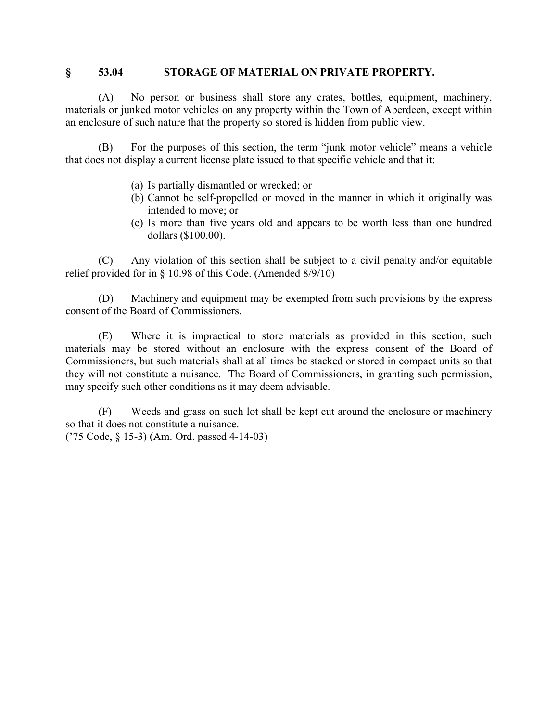### **§ 53.04 STORAGE OF MATERIAL ON PRIVATE PROPERTY.**

(A) No person or business shall store any crates, bottles, equipment, machinery, materials or junked motor vehicles on any property within the Town of Aberdeen, except within an enclosure of such nature that the property so stored is hidden from public view.

(B) For the purposes of this section, the term "junk motor vehicle" means a vehicle that does not display a current license plate issued to that specific vehicle and that it:

- (a) Is partially dismantled or wrecked; or
- (b) Cannot be self-propelled or moved in the manner in which it originally was intended to move; or
- (c) Is more than five years old and appears to be worth less than one hundred dollars (\$100.00).

(C) Any violation of this section shall be subject to a civil penalty and/or equitable relief provided for in § 10.98 of this Code. (Amended 8/9/10)

(D) Machinery and equipment may be exempted from such provisions by the express consent of the Board of Commissioners.

(E) Where it is impractical to store materials as provided in this section, such materials may be stored without an enclosure with the express consent of the Board of Commissioners, but such materials shall at all times be stacked or stored in compact units so that they will not constitute a nuisance. The Board of Commissioners, in granting such permission, may specify such other conditions as it may deem advisable.

(F) Weeds and grass on such lot shall be kept cut around the enclosure or machinery so that it does not constitute a nuisance.

('75 Code, § 15-3) (Am. Ord. passed 4-14-03)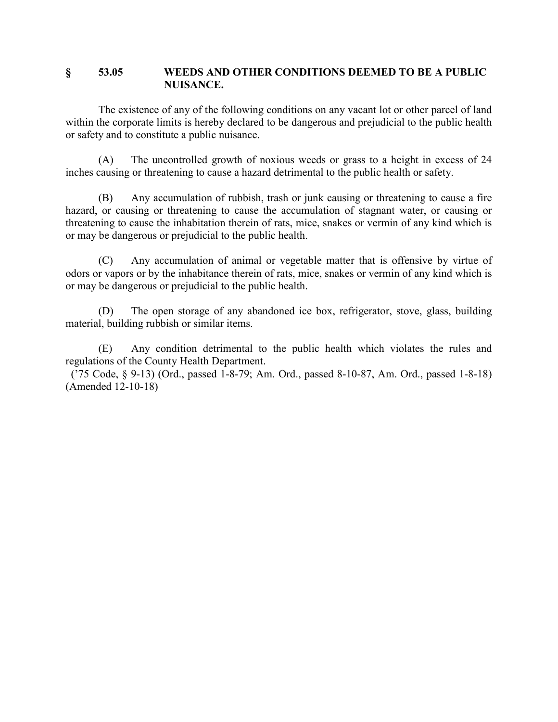### **§ 53.05 WEEDS AND OTHER CONDITIONS DEEMED TO BE A PUBLIC NUISANCE.**

The existence of any of the following conditions on any vacant lot or other parcel of land within the corporate limits is hereby declared to be dangerous and prejudicial to the public health or safety and to constitute a public nuisance.

(A) The uncontrolled growth of noxious weeds or grass to a height in excess of 24 inches causing or threatening to cause a hazard detrimental to the public health or safety.

(B) Any accumulation of rubbish, trash or junk causing or threatening to cause a fire hazard, or causing or threatening to cause the accumulation of stagnant water, or causing or threatening to cause the inhabitation therein of rats, mice, snakes or vermin of any kind which is or may be dangerous or prejudicial to the public health.

(C) Any accumulation of animal or vegetable matter that is offensive by virtue of odors or vapors or by the inhabitance therein of rats, mice, snakes or vermin of any kind which is or may be dangerous or prejudicial to the public health.

(D) The open storage of any abandoned ice box, refrigerator, stove, glass, building material, building rubbish or similar items.

(E) Any condition detrimental to the public health which violates the rules and regulations of the County Health Department.

 ('75 Code, § 9-13) (Ord., passed 1-8-79; Am. Ord., passed 8-10-87, Am. Ord., passed 1-8-18) (Amended 12-10-18)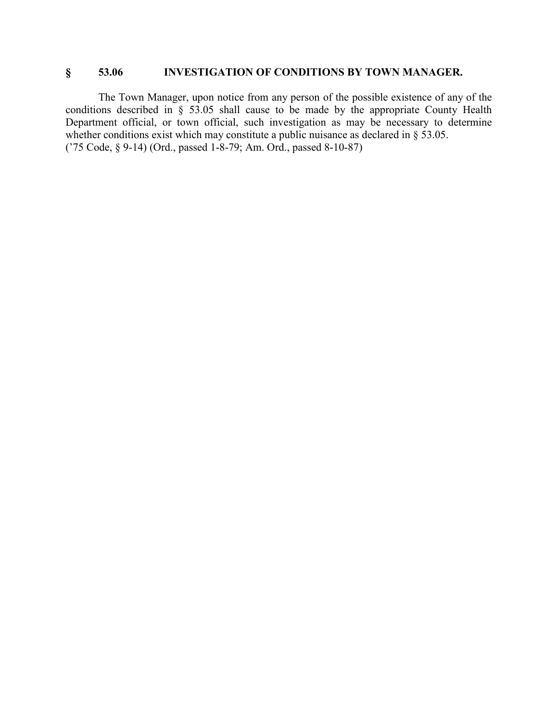## **§ 53.06 INVESTIGATION OF CONDITIONS BY TOWN MANAGER.**

The Town Manager, upon notice from any person of the possible existence of any of the conditions described in § 53.05 shall cause to be made by the appropriate County Health Department official, or town official, such investigation as may be necessary to determine whether conditions exist which may constitute a public nuisance as declared in § 53.05. ('75 Code, § 9-14) (Ord., passed 1-8-79; Am. Ord., passed 8-10-87)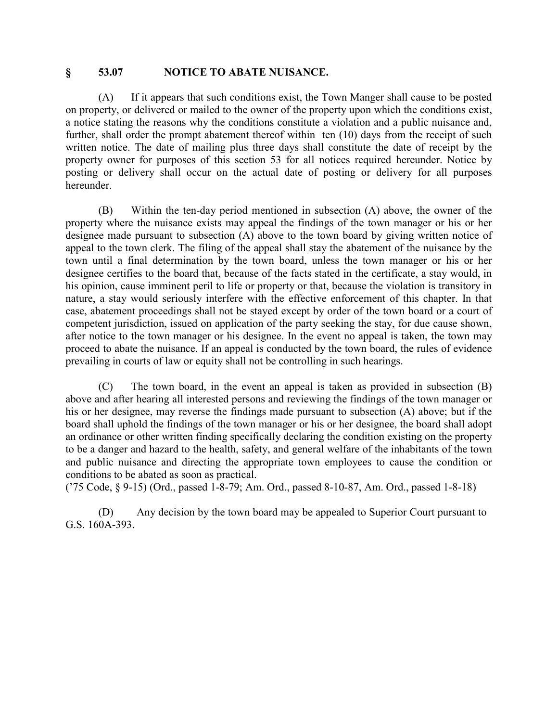#### **§ 53.07 NOTICE TO ABATE NUISANCE.**

(A) If it appears that such conditions exist, the Town Manger shall cause to be posted on property, or delivered or mailed to the owner of the property upon which the conditions exist, a notice stating the reasons why the conditions constitute a violation and a public nuisance and, further, shall order the prompt abatement thereof within ten (10) days from the receipt of such written notice. The date of mailing plus three days shall constitute the date of receipt by the property owner for purposes of this section 53 for all notices required hereunder. Notice by posting or delivery shall occur on the actual date of posting or delivery for all purposes hereunder.

(B) Within the ten-day period mentioned in subsection (A) above, the owner of the property where the nuisance exists may appeal the findings of the town manager or his or her designee made pursuant to subsection (A) above to the town board by giving written notice of appeal to the town clerk. The filing of the appeal shall stay the abatement of the nuisance by the town until a final determination by the town board, unless the town manager or his or her designee certifies to the board that, because of the facts stated in the certificate, a stay would, in his opinion, cause imminent peril to life or property or that, because the violation is transitory in nature, a stay would seriously interfere with the effective enforcement of this chapter. In that case, abatement proceedings shall not be stayed except by order of the town board or a court of competent jurisdiction, issued on application of the party seeking the stay, for due cause shown, after notice to the town manager or his designee. In the event no appeal is taken, the town may proceed to abate the nuisance. If an appeal is conducted by the town board, the rules of evidence prevailing in courts of law or equity shall not be controlling in such hearings.

(C) The town board, in the event an appeal is taken as provided in subsection (B) above and after hearing all interested persons and reviewing the findings of the town manager or his or her designee, may reverse the findings made pursuant to subsection (A) above; but if the board shall uphold the findings of the town manager or his or her designee, the board shall adopt an ordinance or other written finding specifically declaring the condition existing on the property to be a danger and hazard to the health, safety, and general welfare of the inhabitants of the town and public nuisance and directing the appropriate town employees to cause the condition or conditions to be abated as soon as practical.

('75 Code, § 9-15) (Ord., passed 1-8-79; Am. Ord., passed 8-10-87, Am. Ord., passed 1-8-18)

(D) Any decision by the town board may be appealed to Superior Court pursuant to G.S. 160A-393.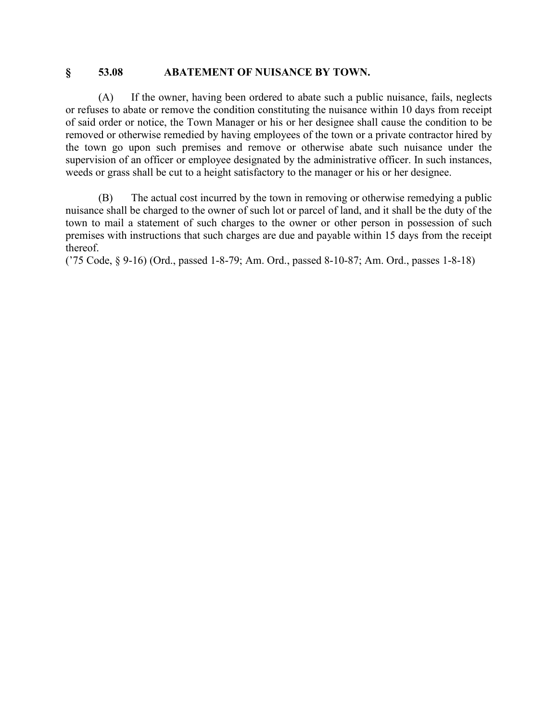#### **§ 53.08 ABATEMENT OF NUISANCE BY TOWN.**

(A) If the owner, having been ordered to abate such a public nuisance, fails, neglects or refuses to abate or remove the condition constituting the nuisance within 10 days from receipt of said order or notice, the Town Manager or his or her designee shall cause the condition to be removed or otherwise remedied by having employees of the town or a private contractor hired by the town go upon such premises and remove or otherwise abate such nuisance under the supervision of an officer or employee designated by the administrative officer. In such instances, weeds or grass shall be cut to a height satisfactory to the manager or his or her designee.

(B) The actual cost incurred by the town in removing or otherwise remedying a public nuisance shall be charged to the owner of such lot or parcel of land, and it shall be the duty of the town to mail a statement of such charges to the owner or other person in possession of such premises with instructions that such charges are due and payable within 15 days from the receipt thereof.

('75 Code, § 9-16) (Ord., passed 1-8-79; Am. Ord., passed 8-10-87; Am. Ord., passes 1-8-18)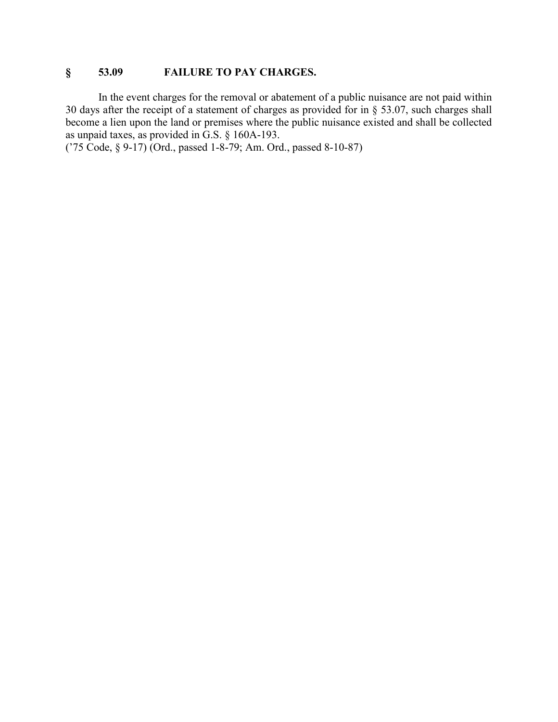# **§ 53.09 FAILURE TO PAY CHARGES.**

In the event charges for the removal or abatement of a public nuisance are not paid within 30 days after the receipt of a statement of charges as provided for in § 53.07, such charges shall become a lien upon the land or premises where the public nuisance existed and shall be collected as unpaid taxes, as provided in G.S. § 160A-193.

('75 Code, § 9-17) (Ord., passed 1-8-79; Am. Ord., passed 8-10-87)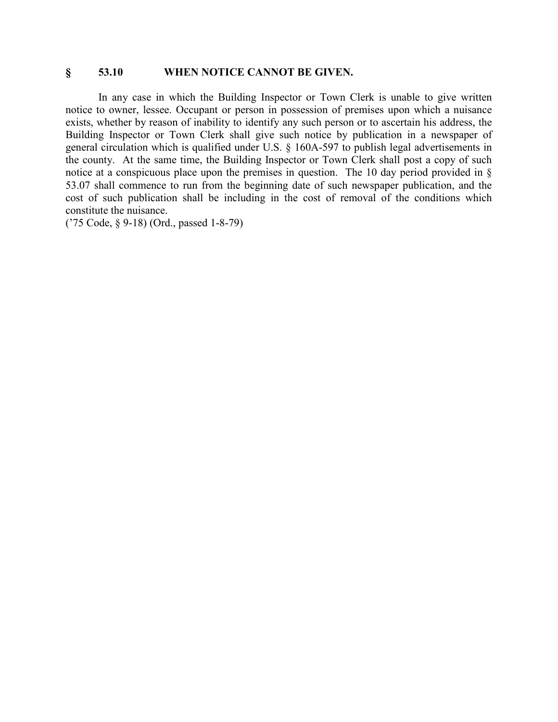### **§ 53.10 WHEN NOTICE CANNOT BE GIVEN.**

In any case in which the Building Inspector or Town Clerk is unable to give written notice to owner, lessee. Occupant or person in possession of premises upon which a nuisance exists, whether by reason of inability to identify any such person or to ascertain his address, the Building Inspector or Town Clerk shall give such notice by publication in a newspaper of general circulation which is qualified under U.S. § 160A-597 to publish legal advertisements in the county. At the same time, the Building Inspector or Town Clerk shall post a copy of such notice at a conspicuous place upon the premises in question. The 10 day period provided in § 53.07 shall commence to run from the beginning date of such newspaper publication, and the cost of such publication shall be including in the cost of removal of the conditions which constitute the nuisance.

('75 Code, § 9-18) (Ord., passed 1-8-79)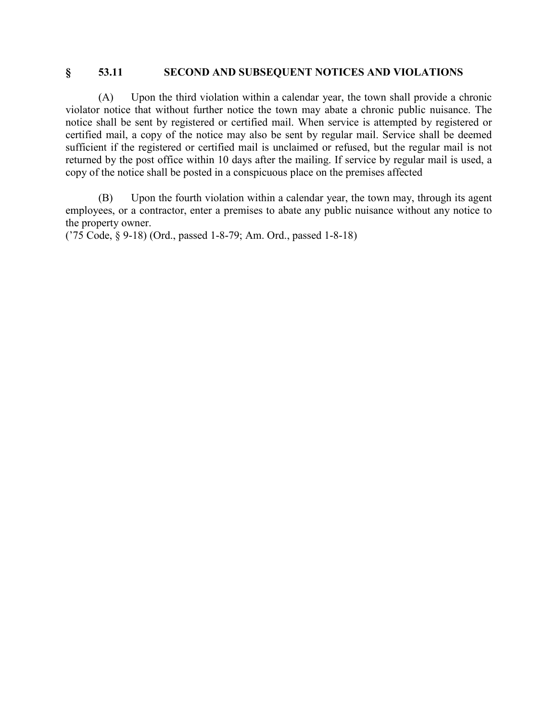### **§ 53.11 SECOND AND SUBSEQUENT NOTICES AND VIOLATIONS**

(A) Upon the third violation within a calendar year, the town shall provide a chronic violator notice that without further notice the town may abate a chronic public nuisance. The notice shall be sent by registered or certified mail. When service is attempted by registered or certified mail, a copy of the notice may also be sent by regular mail. Service shall be deemed sufficient if the registered or certified mail is unclaimed or refused, but the regular mail is not returned by the post office within 10 days after the mailing. If service by regular mail is used, a copy of the notice shall be posted in a conspicuous place on the premises affected

(B) Upon the fourth violation within a calendar year, the town may, through its agent employees, or a contractor, enter a premises to abate any public nuisance without any notice to the property owner.

('75 Code, § 9-18) (Ord., passed 1-8-79; Am. Ord., passed 1-8-18)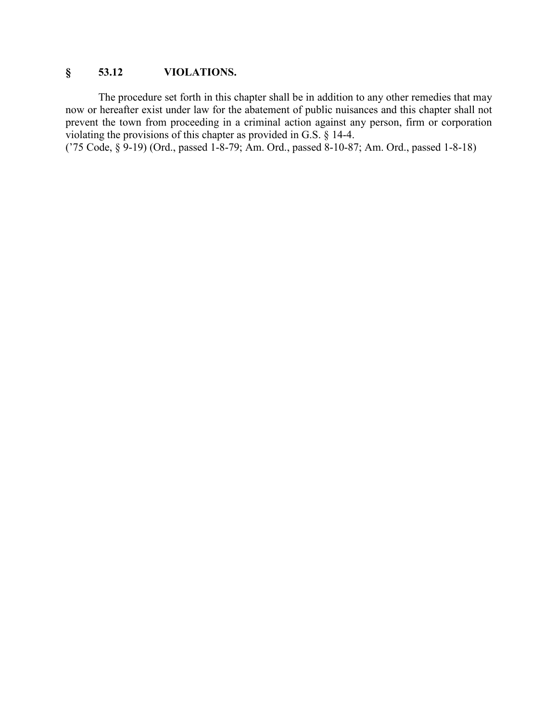# **§ 53.12 VIOLATIONS.**

The procedure set forth in this chapter shall be in addition to any other remedies that may now or hereafter exist under law for the abatement of public nuisances and this chapter shall not prevent the town from proceeding in a criminal action against any person, firm or corporation violating the provisions of this chapter as provided in G.S. § 14-4.

('75 Code, § 9-19) (Ord., passed 1-8-79; Am. Ord., passed 8-10-87; Am. Ord., passed 1-8-18)